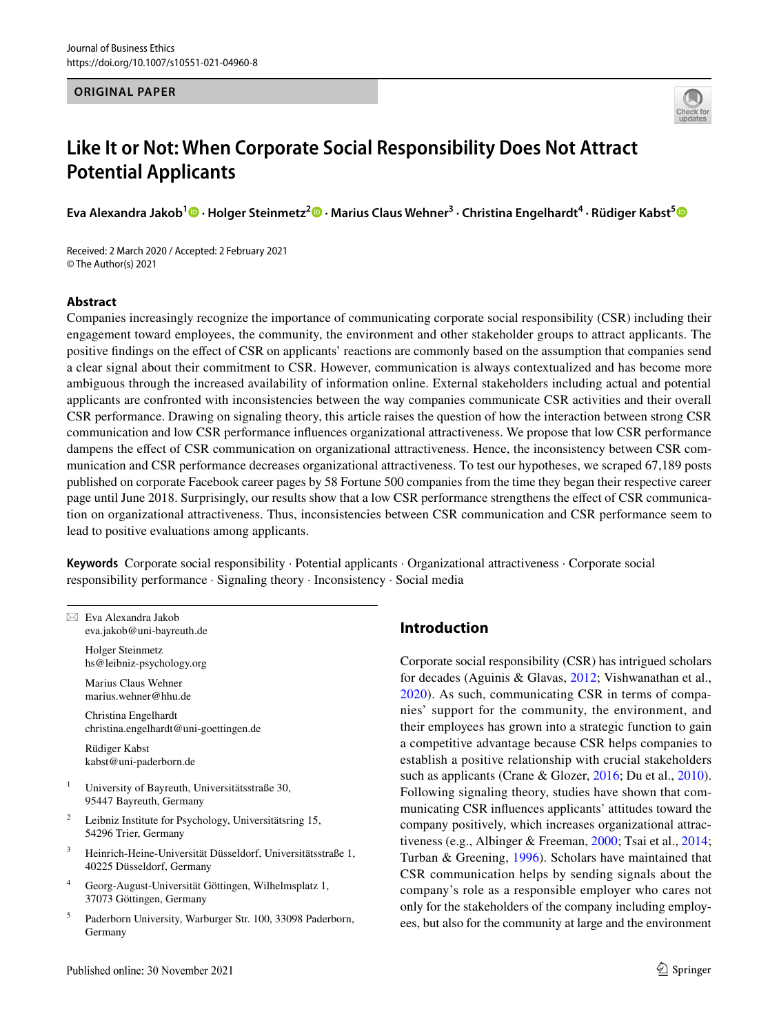#### **ORIGINAL PAPER**



# **Like It or Not: When Corporate Social Responsibility Does Not Attract Potential Applicants**

**Eva Alexandra Jakob<sup>1</sup> · Holger Steinmetz[2](http://orcid.org/0000-0001-5052-4214) · Marius Claus Wehner<sup>3</sup> · Christina Engelhardt4 · Rüdiger Kabst[5](http://orcid.org/0000-0003-3897-0670)**

Received: 2 March 2020 / Accepted: 2 February 2021 © The Author(s) 2021

### **Abstract**

Companies increasingly recognize the importance of communicating corporate social responsibility (CSR) including their engagement toward employees, the community, the environment and other stakeholder groups to attract applicants. The positive fndings on the efect of CSR on applicants' reactions are commonly based on the assumption that companies send a clear signal about their commitment to CSR. However, communication is always contextualized and has become more ambiguous through the increased availability of information online. External stakeholders including actual and potential applicants are confronted with inconsistencies between the way companies communicate CSR activities and their overall CSR performance. Drawing on signaling theory, this article raises the question of how the interaction between strong CSR communication and low CSR performance infuences organizational attractiveness. We propose that low CSR performance dampens the efect of CSR communication on organizational attractiveness. Hence, the inconsistency between CSR communication and CSR performance decreases organizational attractiveness. To test our hypotheses, we scraped 67,189 posts published on corporate Facebook career pages by 58 Fortune 500 companies from the time they began their respective career page until June 2018. Surprisingly, our results show that a low CSR performance strengthens the efect of CSR communication on organizational attractiveness. Thus, inconsistencies between CSR communication and CSR performance seem to lead to positive evaluations among applicants.

**Keywords** Corporate social responsibility · Potential applicants · Organizational attractiveness · Corporate social responsibility performance · Signaling theory · Inconsistency · Social media

 $\boxtimes$  Eva Alexandra Jakob eva.jakob@uni-bayreuth.de

> Holger Steinmetz hs@leibniz-psychology.org

Marius Claus Wehner marius.wehner@hhu.de

Christina Engelhardt christina.engelhardt@uni-goettingen.de

Rüdiger Kabst kabst@uni-paderborn.de

- <sup>1</sup> University of Bayreuth, Universitätsstraße 30, 95447 Bayreuth, Germany
- Leibniz Institute for Psychology, Universitätsring 15, 54296 Trier, Germany
- <sup>3</sup> Heinrich-Heine-Universität Düsseldorf, Universitätsstraße 1, 40225 Düsseldorf, Germany
- <sup>4</sup> Georg-August-Universität Göttingen, Wilhelmsplatz 1, 37073 Göttingen, Germany
- <sup>5</sup> Paderborn University, Warburger Str. 100, 33098 Paderborn, Germany

# **Introduction**

Corporate social responsibility (CSR) has intrigued scholars for decades (Aguinis & Glavas, [2012](#page-18-0); Vishwanathan et al., [2020\)](#page-21-0). As such, communicating CSR in terms of companies' support for the community, the environment, and their employees has grown into a strategic function to gain a competitive advantage because CSR helps companies to establish a positive relationship with crucial stakeholders such as applicants (Crane & Glozer, [2016;](#page-19-0) Du et al., [2010](#page-19-1)). Following signaling theory, studies have shown that communicating CSR infuences applicants' attitudes toward the company positively, which increases organizational attractiveness (e.g., Albinger & Freeman, [2000](#page-18-1); Tsai et al., [2014](#page-21-1); Turban & Greening, [1996](#page-21-2)). Scholars have maintained that CSR communication helps by sending signals about the company's role as a responsible employer who cares not only for the stakeholders of the company including employees, but also for the community at large and the environment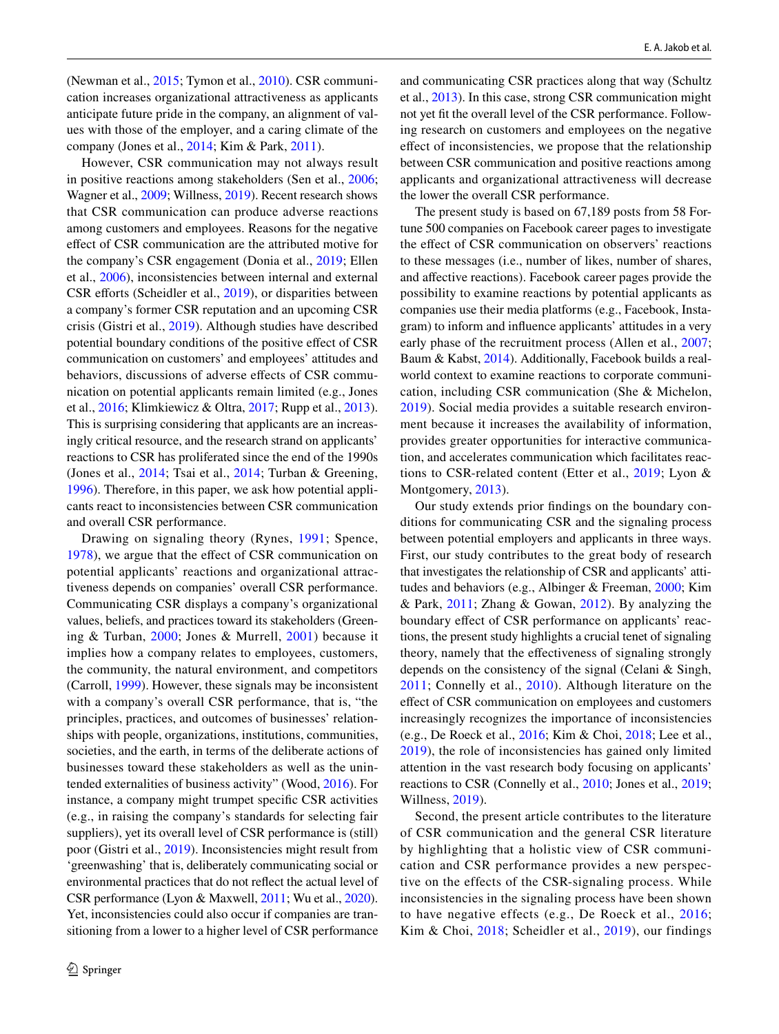(Newman et al., [2015](#page-21-3); Tymon et al., [2010](#page-21-4)). CSR communication increases organizational attractiveness as applicants anticipate future pride in the company, an alignment of values with those of the employer, and a caring climate of the company (Jones et al., [2014](#page-20-0); Kim & Park, [2011](#page-20-1)).

However, CSR communication may not always result in positive reactions among stakeholders (Sen et al., [2006](#page-21-5); Wagner et al., [2009;](#page-22-0) Willness, [2019\)](#page-22-1). Recent research shows that CSR communication can produce adverse reactions among customers and employees. Reasons for the negative efect of CSR communication are the attributed motive for the company's CSR engagement (Donia et al., [2019](#page-19-2); Ellen et al., [2006](#page-19-3)), inconsistencies between internal and external CSR efforts (Scheidler et al., [2019](#page-21-6)), or disparities between a company's former CSR reputation and an upcoming CSR crisis (Gistri et al., [2019](#page-19-4)). Although studies have described potential boundary conditions of the positive efect of CSR communication on customers' and employees' attitudes and behaviors, discussions of adverse efects of CSR communication on potential applicants remain limited (e.g., Jones et al., [2016](#page-20-2); Klimkiewicz & Oltra, [2017](#page-20-3); Rupp et al., [2013](#page-21-7)). This is surprising considering that applicants are an increasingly critical resource, and the research strand on applicants' reactions to CSR has proliferated since the end of the 1990s (Jones et al., [2014;](#page-20-0) Tsai et al., [2014](#page-21-1); Turban & Greening, [1996](#page-21-2)). Therefore, in this paper, we ask how potential applicants react to inconsistencies between CSR communication and overall CSR performance.

Drawing on signaling theory (Rynes, [1991](#page-21-8); Spence, [1978](#page-21-9)), we argue that the efect of CSR communication on potential applicants' reactions and organizational attractiveness depends on companies' overall CSR performance. Communicating CSR displays a company's organizational values, beliefs, and practices toward its stakeholders (Greening & Turban, [2000](#page-20-4); Jones & Murrell, [2001\)](#page-20-5) because it implies how a company relates to employees, customers, the community, the natural environment, and competitors (Carroll, [1999](#page-18-2)). However, these signals may be inconsistent with a company's overall CSR performance, that is, "the principles, practices, and outcomes of businesses' relationships with people, organizations, institutions, communities, societies, and the earth, in terms of the deliberate actions of businesses toward these stakeholders as well as the unintended externalities of business activity" (Wood, [2016](#page-22-2)). For instance, a company might trumpet specifc CSR activities (e.g., in raising the company's standards for selecting fair suppliers), yet its overall level of CSR performance is (still) poor (Gistri et al., [2019\)](#page-19-4). Inconsistencies might result from 'greenwashing' that is, deliberately communicating social or environmental practices that do not refect the actual level of CSR performance (Lyon & Maxwell, [2011](#page-20-6); Wu et al., [2020](#page-22-3)). Yet, inconsistencies could also occur if companies are transitioning from a lower to a higher level of CSR performance and communicating CSR practices along that way (Schultz et al., [2013](#page-21-10)). In this case, strong CSR communication might not yet ft the overall level of the CSR performance. Following research on customers and employees on the negative efect of inconsistencies, we propose that the relationship between CSR communication and positive reactions among applicants and organizational attractiveness will decrease the lower the overall CSR performance.

The present study is based on 67,189 posts from 58 Fortune 500 companies on Facebook career pages to investigate the efect of CSR communication on observers' reactions to these messages (i.e., number of likes, number of shares, and afective reactions). Facebook career pages provide the possibility to examine reactions by potential applicants as companies use their media platforms (e.g., Facebook, Instagram) to inform and infuence applicants' attitudes in a very early phase of the recruitment process (Allen et al., [2007](#page-18-3); Baum & Kabst, [2014\)](#page-18-4). Additionally, Facebook builds a realworld context to examine reactions to corporate communication, including CSR communication (She & Michelon, [2019\)](#page-21-11). Social media provides a suitable research environment because it increases the availability of information, provides greater opportunities for interactive communication, and accelerates communication which facilitates reactions to CSR-related content (Etter et al., [2019](#page-19-5); Lyon & Montgomery, [2013\)](#page-20-7).

Our study extends prior fndings on the boundary conditions for communicating CSR and the signaling process between potential employers and applicants in three ways. First, our study contributes to the great body of research that investigates the relationship of CSR and applicants' attitudes and behaviors (e.g., Albinger & Freeman, [2000;](#page-18-1) Kim & Park, [2011](#page-20-1); Zhang & Gowan, [2012](#page-22-4)). By analyzing the boundary effect of CSR performance on applicants' reactions, the present study highlights a crucial tenet of signaling theory, namely that the efectiveness of signaling strongly depends on the consistency of the signal (Celani & Singh, [2011](#page-18-5); Connelly et al., [2010](#page-19-6)). Although literature on the efect of CSR communication on employees and customers increasingly recognizes the importance of inconsistencies (e.g., De Roeck et al., [2016](#page-19-7); Kim & Choi, [2018;](#page-20-8) Lee et al., [2019\)](#page-20-9), the role of inconsistencies has gained only limited attention in the vast research body focusing on applicants' reactions to CSR (Connelly et al., [2010;](#page-19-6) Jones et al., [2019](#page-20-10); Willness, [2019\)](#page-22-1).

Second, the present article contributes to the literature of CSR communication and the general CSR literature by highlighting that a holistic view of CSR communication and CSR performance provides a new perspective on the effects of the CSR-signaling process. While inconsistencies in the signaling process have been shown to have negative effects (e.g., De Roeck et al., [2016](#page-19-7); Kim & Choi, [2018](#page-20-8); Scheidler et al., [2019](#page-21-6)), our findings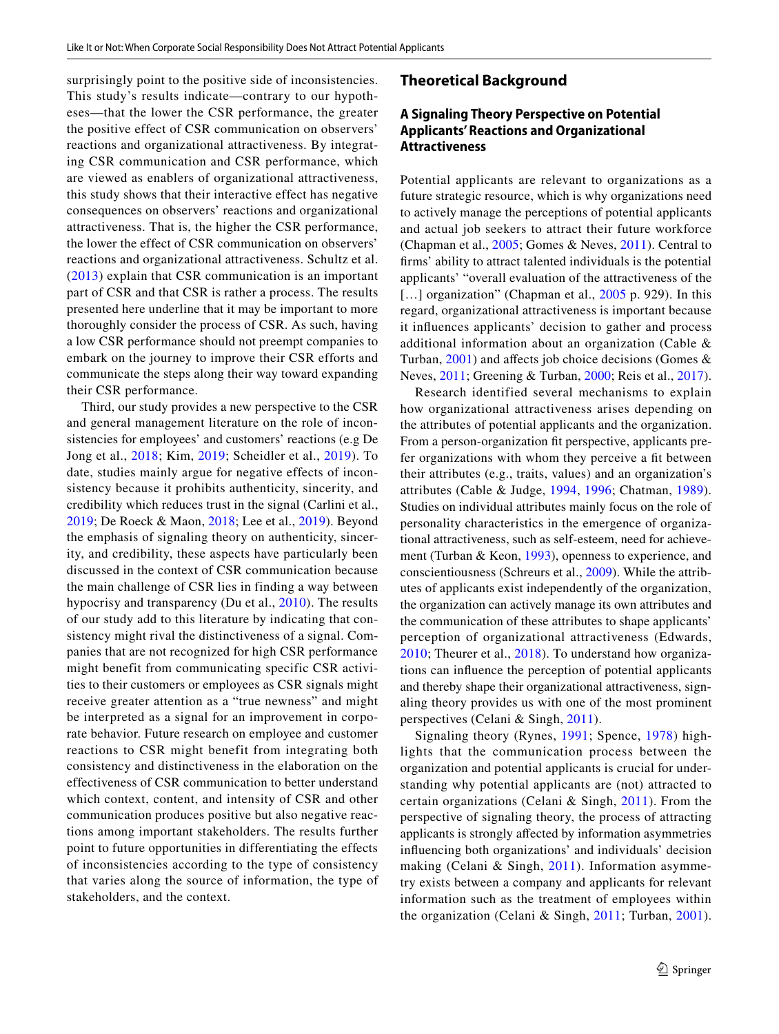surprisingly point to the positive side of inconsistencies. This study's results indicate—contrary to our hypotheses—that the lower the CSR performance, the greater the positive effect of CSR communication on observers' reactions and organizational attractiveness. By integrating CSR communication and CSR performance, which are viewed as enablers of organizational attractiveness, this study shows that their interactive effect has negative consequences on observers' reactions and organizational attractiveness. That is, the higher the CSR performance, the lower the effect of CSR communication on observers' reactions and organizational attractiveness. Schultz et al. ([2013\)](#page-21-10) explain that CSR communication is an important part of CSR and that CSR is rather a process. The results presented here underline that it may be important to more thoroughly consider the process of CSR. As such, having a low CSR performance should not preempt companies to embark on the journey to improve their CSR efforts and communicate the steps along their way toward expanding their CSR performance.

Third, our study provides a new perspective to the CSR and general management literature on the role of inconsistencies for employees' and customers' reactions (e.g De Jong et al., [2018](#page-19-8); Kim, [2019](#page-20-11); Scheidler et al., [2019\)](#page-21-6). To date, studies mainly argue for negative effects of inconsistency because it prohibits authenticity, sincerity, and credibility which reduces trust in the signal (Carlini et al., [2019;](#page-18-6) De Roeck & Maon, [2018;](#page-19-9) Lee et al., [2019](#page-20-9)). Beyond the emphasis of signaling theory on authenticity, sincerity, and credibility, these aspects have particularly been discussed in the context of CSR communication because the main challenge of CSR lies in finding a way between hypocrisy and transparency (Du et al., [2010](#page-19-1)). The results of our study add to this literature by indicating that consistency might rival the distinctiveness of a signal. Companies that are not recognized for high CSR performance might benefit from communicating specific CSR activities to their customers or employees as CSR signals might receive greater attention as a "true newness" and might be interpreted as a signal for an improvement in corporate behavior. Future research on employee and customer reactions to CSR might benefit from integrating both consistency and distinctiveness in the elaboration on the effectiveness of CSR communication to better understand which context, content, and intensity of CSR and other communication produces positive but also negative reactions among important stakeholders. The results further point to future opportunities in differentiating the effects of inconsistencies according to the type of consistency that varies along the source of information, the type of stakeholders, and the context.

# **Theoretical Background**

# **A Signaling Theory Perspective on Potential Applicants' Reactions and Organizational Attractiveness**

Potential applicants are relevant to organizations as a future strategic resource, which is why organizations need to actively manage the perceptions of potential applicants and actual job seekers to attract their future workforce (Chapman et al., [2005](#page-18-7); Gomes & Neves, [2011](#page-20-12)). Central to frms' ability to attract talented individuals is the potential applicants' "overall evaluation of the attractiveness of the [...] organization" (Chapman et al., [2005](#page-18-7) p. 929). In this regard, organizational attractiveness is important because it infuences applicants' decision to gather and process additional information about an organization (Cable & Turban,  $2001$ ) and affects job choice decisions (Gomes  $\&$ Neves, [2011;](#page-20-12) Greening & Turban, [2000](#page-20-4); Reis et al., [2017](#page-21-12)).

Research identified several mechanisms to explain how organizational attractiveness arises depending on the attributes of potential applicants and the organization. From a person-organization ft perspective, applicants prefer organizations with whom they perceive a ft between their attributes (e.g., traits, values) and an organization's attributes (Cable & Judge, [1994](#page-18-9), [1996;](#page-18-10) Chatman, [1989](#page-19-10)). Studies on individual attributes mainly focus on the role of personality characteristics in the emergence of organizational attractiveness, such as self-esteem, need for achievement (Turban & Keon, [1993\)](#page-21-13), openness to experience, and conscientiousness (Schreurs et al., [2009](#page-21-14)). While the attributes of applicants exist independently of the organization, the organization can actively manage its own attributes and the communication of these attributes to shape applicants' perception of organizational attractiveness (Edwards, [2010;](#page-19-11) Theurer et al., [2018](#page-21-15)). To understand how organizations can infuence the perception of potential applicants and thereby shape their organizational attractiveness, signaling theory provides us with one of the most prominent perspectives (Celani & Singh, [2011](#page-18-5)).

Signaling theory (Rynes, [1991](#page-21-8); Spence, [1978](#page-21-9)) highlights that the communication process between the organization and potential applicants is crucial for understanding why potential applicants are (not) attracted to certain organizations (Celani & Singh, [2011](#page-18-5)). From the perspective of signaling theory, the process of attracting applicants is strongly afected by information asymmetries infuencing both organizations' and individuals' decision making (Celani & Singh, [2011\)](#page-18-5). Information asymmetry exists between a company and applicants for relevant information such as the treatment of employees within the organization (Celani & Singh, [2011](#page-18-5); Turban, [2001](#page-21-16)).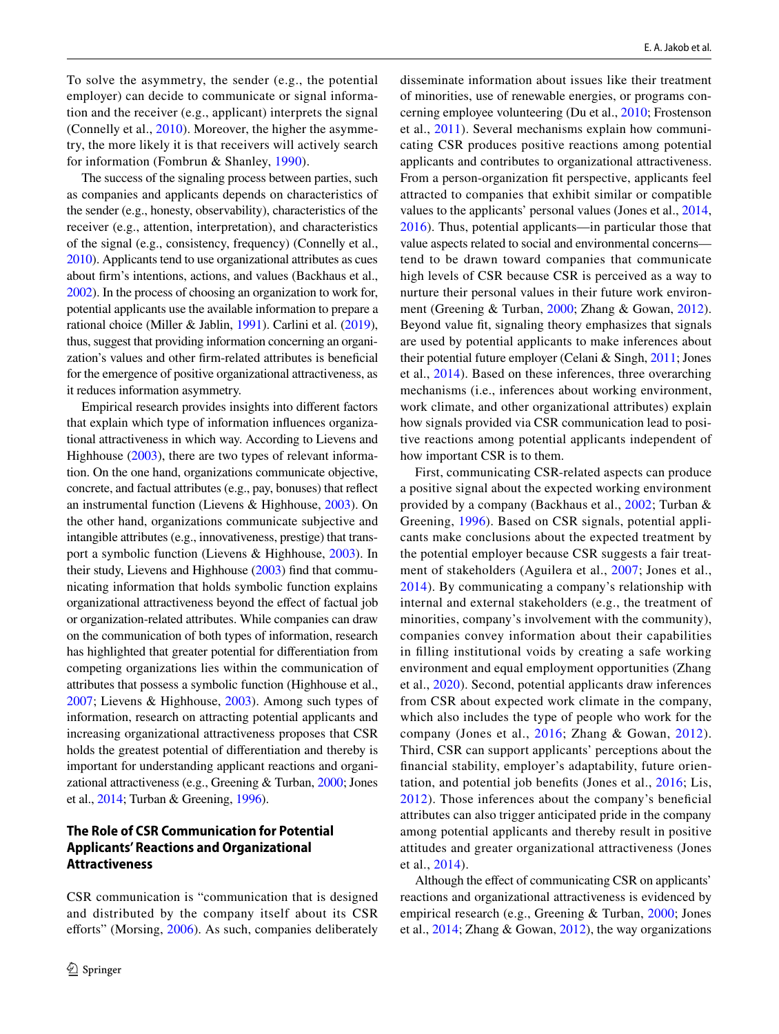To solve the asymmetry, the sender (e.g., the potential employer) can decide to communicate or signal information and the receiver (e.g., applicant) interprets the signal (Connelly et al., [2010\)](#page-19-6). Moreover, the higher the asymmetry, the more likely it is that receivers will actively search for information (Fombrun & Shanley, [1990\)](#page-19-12).

The success of the signaling process between parties, such as companies and applicants depends on characteristics of the sender (e.g., honesty, observability), characteristics of the receiver (e.g., attention, interpretation), and characteristics of the signal (e.g., consistency, frequency) (Connelly et al., [2010\)](#page-19-6). Applicants tend to use organizational attributes as cues about frm's intentions, actions, and values (Backhaus et al., [2002\)](#page-18-11). In the process of choosing an organization to work for, potential applicants use the available information to prepare a rational choice (Miller & Jablin, [1991\)](#page-20-13). Carlini et al. ([2019](#page-18-6)), thus, suggest that providing information concerning an organization's values and other frm-related attributes is benefcial for the emergence of positive organizational attractiveness, as it reduces information asymmetry.

Empirical research provides insights into diferent factors that explain which type of information infuences organizational attractiveness in which way. According to Lievens and Highhouse [\(2003](#page-20-14)), there are two types of relevant information. On the one hand, organizations communicate objective, concrete, and factual attributes (e.g., pay, bonuses) that refect an instrumental function (Lievens & Highhouse, [2003](#page-20-14)). On the other hand, organizations communicate subjective and intangible attributes (e.g., innovativeness, prestige) that transport a symbolic function (Lievens & Highhouse, [2003\)](#page-20-14). In their study, Lievens and Highhouse ([2003](#page-20-14)) fnd that communicating information that holds symbolic function explains organizational attractiveness beyond the efect of factual job or organization-related attributes. While companies can draw on the communication of both types of information, research has highlighted that greater potential for diferentiation from competing organizations lies within the communication of attributes that possess a symbolic function (Highhouse et al., [2007](#page-20-15); Lievens & Highhouse, [2003](#page-20-14)). Among such types of information, research on attracting potential applicants and increasing organizational attractiveness proposes that CSR holds the greatest potential of diferentiation and thereby is important for understanding applicant reactions and organizational attractiveness (e.g., Greening & Turban, [2000](#page-20-4); Jones et al., [2014](#page-20-0); Turban & Greening, [1996](#page-21-2)).

# **The Role of CSR Communication for Potential Applicants' Reactions and Organizational Attractiveness**

CSR communication is "communication that is designed and distributed by the company itself about its CSR efforts" (Morsing, [2006](#page-20-16)). As such, companies deliberately

disseminate information about issues like their treatment of minorities, use of renewable energies, or programs concerning employee volunteering (Du et al., [2010](#page-19-1); Frostenson et al., [2011\)](#page-19-13). Several mechanisms explain how communicating CSR produces positive reactions among potential applicants and contributes to organizational attractiveness. From a person-organization ft perspective, applicants feel attracted to companies that exhibit similar or compatible values to the applicants' personal values (Jones et al., [2014,](#page-20-0) [2016\)](#page-20-2). Thus, potential applicants—in particular those that value aspects related to social and environmental concerns tend to be drawn toward companies that communicate high levels of CSR because CSR is perceived as a way to nurture their personal values in their future work environment (Greening & Turban, [2000;](#page-20-4) Zhang & Gowan, [2012](#page-22-4)). Beyond value ft, signaling theory emphasizes that signals are used by potential applicants to make inferences about their potential future employer (Celani & Singh, [2011](#page-18-5); Jones et al., [2014](#page-20-0)). Based on these inferences, three overarching mechanisms (i.e., inferences about working environment, work climate, and other organizational attributes) explain how signals provided via CSR communication lead to positive reactions among potential applicants independent of how important CSR is to them.

First, communicating CSR-related aspects can produce a positive signal about the expected working environment provided by a company (Backhaus et al., [2002;](#page-18-11) Turban & Greening, [1996\)](#page-21-2). Based on CSR signals, potential applicants make conclusions about the expected treatment by the potential employer because CSR suggests a fair treatment of stakeholders (Aguilera et al., [2007;](#page-18-12) Jones et al., [2014\)](#page-20-0). By communicating a company's relationship with internal and external stakeholders (e.g., the treatment of minorities, company's involvement with the community), companies convey information about their capabilities in flling institutional voids by creating a safe working environment and equal employment opportunities (Zhang et al., [2020\)](#page-22-5). Second, potential applicants draw inferences from CSR about expected work climate in the company, which also includes the type of people who work for the company (Jones et al., [2016](#page-20-2); Zhang & Gowan, [2012](#page-22-4)). Third, CSR can support applicants' perceptions about the fnancial stability, employer's adaptability, future orientation, and potential job benefts (Jones et al., [2016](#page-20-2); Lis, [2012](#page-20-17)). Those inferences about the company's benefcial attributes can also trigger anticipated pride in the company among potential applicants and thereby result in positive attitudes and greater organizational attractiveness (Jones et al., [2014\)](#page-20-0).

Although the efect of communicating CSR on applicants' reactions and organizational attractiveness is evidenced by empirical research (e.g., Greening & Turban, [2000;](#page-20-4) Jones et al., [2014;](#page-20-0) Zhang & Gowan, [2012](#page-22-4)), the way organizations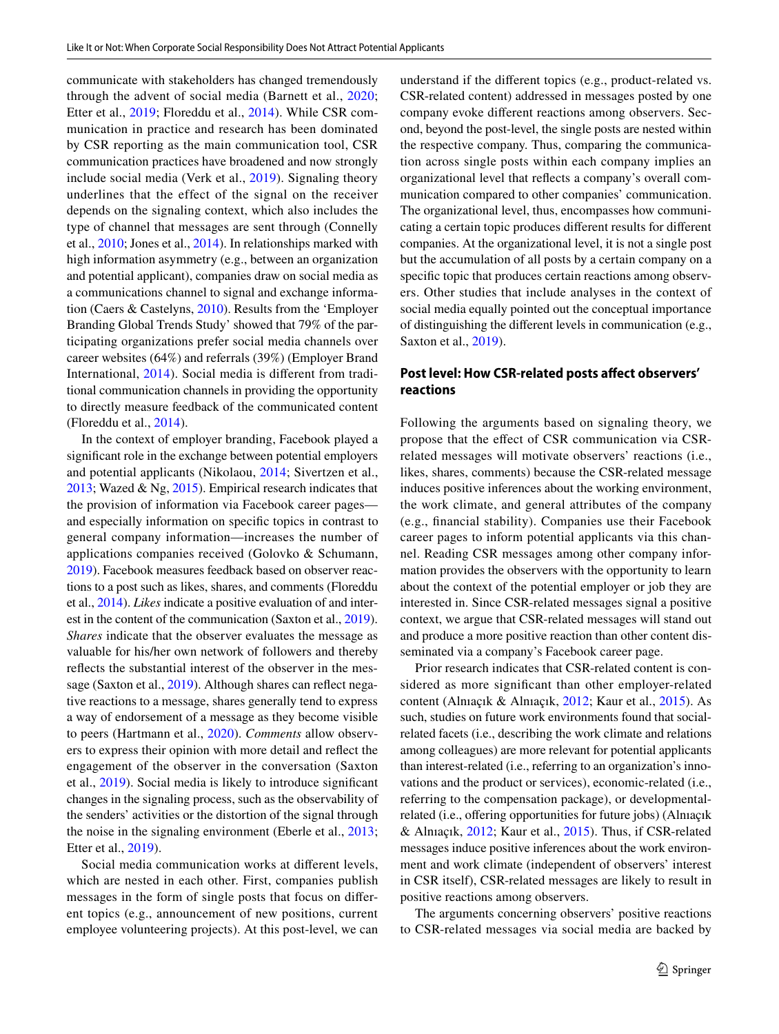communicate with stakeholders has changed tremendously through the advent of social media (Barnett et al., [2020](#page-18-13); Etter et al., [2019](#page-19-5); Floreddu et al., [2014](#page-19-14)). While CSR communication in practice and research has been dominated by CSR reporting as the main communication tool, CSR communication practices have broadened and now strongly include social media (Verk et al., [2019](#page-21-17)). Signaling theory underlines that the effect of the signal on the receiver depends on the signaling context, which also includes the type of channel that messages are sent through (Connelly et al., [2010;](#page-19-6) Jones et al., [2014\)](#page-20-0). In relationships marked with high information asymmetry (e.g., between an organization and potential applicant), companies draw on social media as a communications channel to signal and exchange information (Caers & Castelyns, [2010\)](#page-18-14). Results from the 'Employer Branding Global Trends Study' showed that 79% of the participating organizations prefer social media channels over career websites (64%) and referrals (39%) (Employer Brand International, [2014](#page-19-15)). Social media is diferent from traditional communication channels in providing the opportunity to directly measure feedback of the communicated content (Floreddu et al., [2014](#page-19-14)).

In the context of employer branding, Facebook played a signifcant role in the exchange between potential employers and potential applicants (Nikolaou, [2014](#page-21-18); Sivertzen et al., [2013;](#page-21-19) Wazed & Ng,  $2015$ ). Empirical research indicates that the provision of information via Facebook career pages and especially information on specifc topics in contrast to general company information—increases the number of applications companies received (Golovko & Schumann, [2019\)](#page-19-16). Facebook measures feedback based on observer reactions to a post such as likes, shares, and comments (Floreddu et al., [2014](#page-19-14)). *Likes* indicate a positive evaluation of and interest in the content of the communication (Saxton et al., [2019](#page-21-20)). *Shares* indicate that the observer evaluates the message as valuable for his/her own network of followers and thereby refects the substantial interest of the observer in the mes-sage (Saxton et al., [2019](#page-21-20)). Although shares can reflect negative reactions to a message, shares generally tend to express a way of endorsement of a message as they become visible to peers (Hartmann et al., [2020](#page-20-18)). *Comments* allow observers to express their opinion with more detail and refect the engagement of the observer in the conversation (Saxton et al., [2019](#page-21-20)). Social media is likely to introduce signifcant changes in the signaling process, such as the observability of the senders' activities or the distortion of the signal through the noise in the signaling environment (Eberle et al., [2013](#page-19-17); Etter et al., [2019\)](#page-19-5).

Social media communication works at diferent levels, which are nested in each other. First, companies publish messages in the form of single posts that focus on diferent topics (e.g., announcement of new positions, current employee volunteering projects). At this post-level, we can understand if the diferent topics (e.g., product-related vs. CSR-related content) addressed in messages posted by one company evoke diferent reactions among observers. Second, beyond the post-level, the single posts are nested within the respective company. Thus, comparing the communication across single posts within each company implies an organizational level that refects a company's overall communication compared to other companies' communication. The organizational level, thus, encompasses how communicating a certain topic produces diferent results for diferent companies. At the organizational level, it is not a single post but the accumulation of all posts by a certain company on a specifc topic that produces certain reactions among observers. Other studies that include analyses in the context of social media equally pointed out the conceptual importance of distinguishing the diferent levels in communication (e.g., Saxton et al., [2019](#page-21-20)).

# **Post level: How CSR‑related posts afect observers' reactions**

Following the arguments based on signaling theory, we propose that the efect of CSR communication via CSRrelated messages will motivate observers' reactions (i.e., likes, shares, comments) because the CSR-related message induces positive inferences about the working environment, the work climate, and general attributes of the company (e.g., fnancial stability). Companies use their Facebook career pages to inform potential applicants via this channel. Reading CSR messages among other company information provides the observers with the opportunity to learn about the context of the potential employer or job they are interested in. Since CSR-related messages signal a positive context, we argue that CSR-related messages will stand out and produce a more positive reaction than other content disseminated via a company's Facebook career page.

Prior research indicates that CSR-related content is considered as more signifcant than other employer-related content (Alnıaçık & Alnıaçık, [2012;](#page-18-15) Kaur et al., [2015](#page-20-19)). As such, studies on future work environments found that socialrelated facets (i.e., describing the work climate and relations among colleagues) are more relevant for potential applicants than interest-related (i.e., referring to an organization's innovations and the product or services), economic-related (i.e., referring to the compensation package), or developmentalrelated (i.e., offering opportunities for future jobs) (Alnıaçık & Alnıaçık, [2012](#page-18-15); Kaur et al., [2015](#page-20-19)). Thus, if CSR-related messages induce positive inferences about the work environment and work climate (independent of observers' interest in CSR itself), CSR-related messages are likely to result in positive reactions among observers.

The arguments concerning observers' positive reactions to CSR-related messages via social media are backed by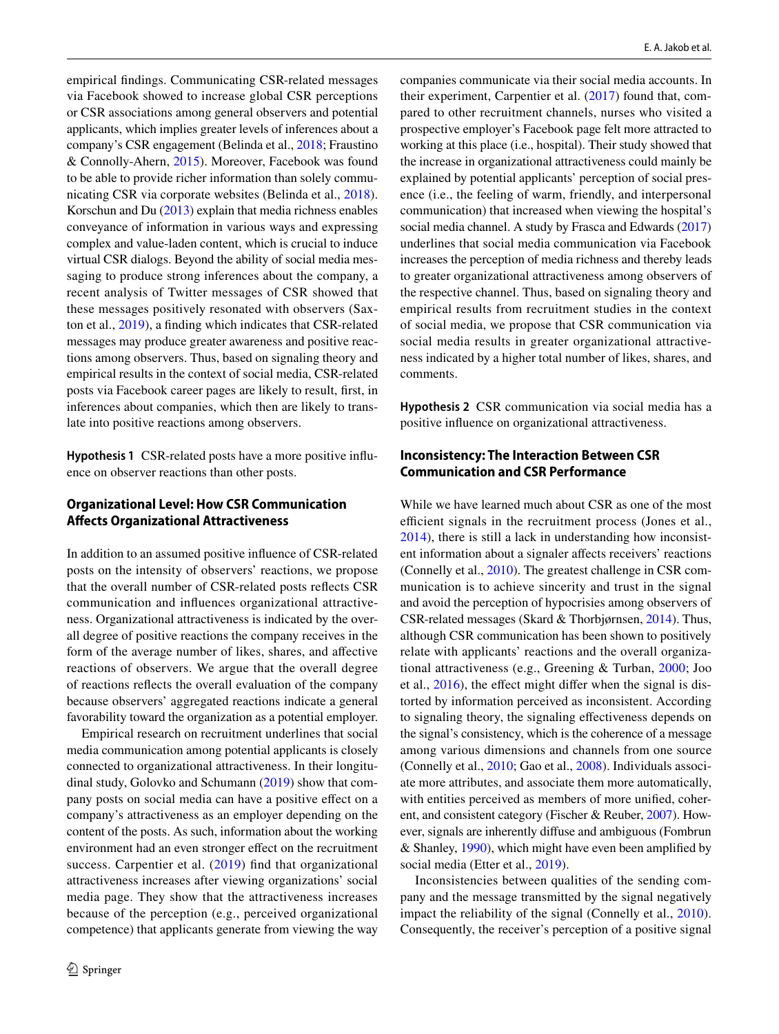empirical fndings. Communicating CSR-related messages via Facebook showed to increase global CSR perceptions or CSR associations among general observers and potential applicants, which implies greater levels of inferences about a company's CSR engagement (Belinda et al., [2018;](#page-18-16) Fraustino & Connolly-Ahern, [2015\)](#page-19-18). Moreover, Facebook was found to be able to provide richer information than solely communicating CSR via corporate websites (Belinda et al., [2018](#page-18-16)). Korschun and Du [\(2013](#page-20-20)) explain that media richness enables conveyance of information in various ways and expressing complex and value-laden content, which is crucial to induce virtual CSR dialogs. Beyond the ability of social media messaging to produce strong inferences about the company, a recent analysis of Twitter messages of CSR showed that these messages positively resonated with observers (Saxton et al., [2019\)](#page-21-20), a fnding which indicates that CSR-related messages may produce greater awareness and positive reactions among observers. Thus, based on signaling theory and empirical results in the context of social media, CSR-related posts via Facebook career pages are likely to result, frst, in inferences about companies, which then are likely to translate into positive reactions among observers.

**Hypothesis 1** CSR-related posts have a more positive infuence on observer reactions than other posts.

# **Organizational Level: How CSR Communication Afects Organizational Attractiveness**

In addition to an assumed positive infuence of CSR-related posts on the intensity of observers' reactions, we propose that the overall number of CSR-related posts refects CSR communication and infuences organizational attractiveness. Organizational attractiveness is indicated by the overall degree of positive reactions the company receives in the form of the average number of likes, shares, and afective reactions of observers. We argue that the overall degree of reactions refects the overall evaluation of the company because observers' aggregated reactions indicate a general favorability toward the organization as a potential employer.

Empirical research on recruitment underlines that social media communication among potential applicants is closely connected to organizational attractiveness. In their longitudinal study, Golovko and Schumann ([2019\)](#page-19-16) show that company posts on social media can have a positive efect on a company's attractiveness as an employer depending on the content of the posts. As such, information about the working environment had an even stronger efect on the recruitment success. Carpentier et al. ([2019](#page-18-17)) find that organizational attractiveness increases after viewing organizations' social media page. They show that the attractiveness increases because of the perception (e.g., perceived organizational competence) that applicants generate from viewing the way companies communicate via their social media accounts. In their experiment, Carpentier et al. [\(2017\)](#page-18-18) found that, compared to other recruitment channels, nurses who visited a prospective employer's Facebook page felt more attracted to working at this place (i.e., hospital). Their study showed that the increase in organizational attractiveness could mainly be explained by potential applicants' perception of social presence (i.e., the feeling of warm, friendly, and interpersonal communication) that increased when viewing the hospital's social media channel. A study by Frasca and Edwards [\(2017\)](#page-19-19) underlines that social media communication via Facebook increases the perception of media richness and thereby leads to greater organizational attractiveness among observers of the respective channel. Thus, based on signaling theory and empirical results from recruitment studies in the context of social media, we propose that CSR communication via social media results in greater organizational attractiveness indicated by a higher total number of likes, shares, and comments.

**Hypothesis 2** CSR communication via social media has a positive infuence on organizational attractiveness.

# **Inconsistency: The Interaction Between CSR Communication and CSR Performance**

While we have learned much about CSR as one of the most efficient signals in the recruitment process (Jones et al., [2014](#page-20-0)), there is still a lack in understanding how inconsistent information about a signaler afects receivers' reactions (Connelly et al., [2010](#page-19-6)). The greatest challenge in CSR communication is to achieve sincerity and trust in the signal and avoid the perception of hypocrisies among observers of CSR-related messages (Skard & Thorbjørnsen, [2014\)](#page-21-21). Thus, although CSR communication has been shown to positively relate with applicants' reactions and the overall organizational attractiveness (e.g., Greening & Turban, [2000](#page-20-4); Joo et al.,  $2016$ ), the effect might differ when the signal is distorted by information perceived as inconsistent. According to signaling theory, the signaling efectiveness depends on the signal's consistency, which is the coherence of a message among various dimensions and channels from one source (Connelly et al., [2010;](#page-19-6) Gao et al., [2008\)](#page-19-20). Individuals associate more attributes, and associate them more automatically, with entities perceived as members of more unifed, coherent, and consistent category (Fischer & Reuber, [2007](#page-19-21)). However, signals are inherently difuse and ambiguous (Fombrun & Shanley, [1990](#page-19-12)), which might have even been amplifed by social media (Etter et al., [2019\)](#page-19-5).

Inconsistencies between qualities of the sending company and the message transmitted by the signal negatively impact the reliability of the signal (Connelly et al., [2010](#page-19-6)). Consequently, the receiver's perception of a positive signal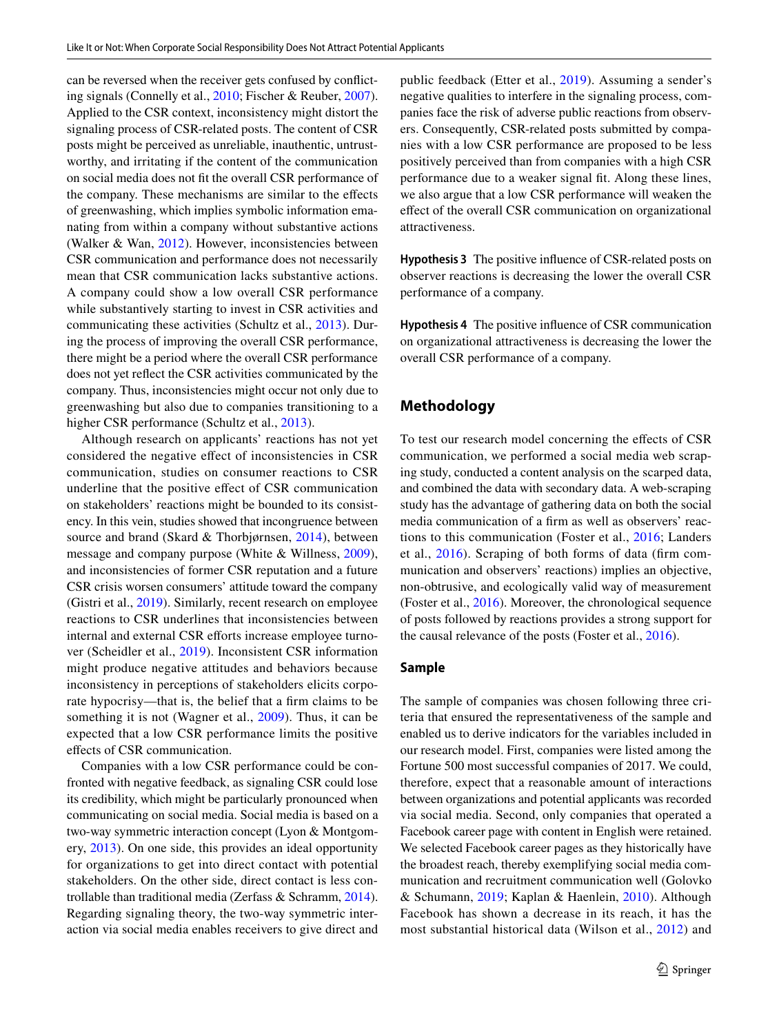can be reversed when the receiver gets confused by conficting signals (Connelly et al., [2010;](#page-19-6) Fischer & Reuber, [2007](#page-19-21)). Applied to the CSR context, inconsistency might distort the signaling process of CSR-related posts. The content of CSR posts might be perceived as unreliable, inauthentic, untrustworthy, and irritating if the content of the communication on social media does not ft the overall CSR performance of the company. These mechanisms are similar to the efects of greenwashing, which implies symbolic information emanating from within a company without substantive actions (Walker & Wan, [2012](#page-22-7)). However, inconsistencies between CSR communication and performance does not necessarily mean that CSR communication lacks substantive actions. A company could show a low overall CSR performance while substantively starting to invest in CSR activities and communicating these activities (Schultz et al., [2013\)](#page-21-10). During the process of improving the overall CSR performance, there might be a period where the overall CSR performance does not yet refect the CSR activities communicated by the company. Thus, inconsistencies might occur not only due to greenwashing but also due to companies transitioning to a higher CSR performance (Schultz et al., [2013](#page-21-10)).

Although research on applicants' reactions has not yet considered the negative efect of inconsistencies in CSR communication, studies on consumer reactions to CSR underline that the positive efect of CSR communication on stakeholders' reactions might be bounded to its consistency. In this vein, studies showed that incongruence between source and brand (Skard & Thorbjørnsen, [2014\)](#page-21-21), between message and company purpose (White & Willness, [2009](#page-22-8)), and inconsistencies of former CSR reputation and a future CSR crisis worsen consumers' attitude toward the company (Gistri et al., [2019\)](#page-19-4). Similarly, recent research on employee reactions to CSR underlines that inconsistencies between internal and external CSR efforts increase employee turnover (Scheidler et al., [2019\)](#page-21-6). Inconsistent CSR information might produce negative attitudes and behaviors because inconsistency in perceptions of stakeholders elicits corporate hypocrisy—that is, the belief that a frm claims to be something it is not (Wagner et al., [2009\)](#page-22-0). Thus, it can be expected that a low CSR performance limits the positive efects of CSR communication.

Companies with a low CSR performance could be confronted with negative feedback, as signaling CSR could lose its credibility, which might be particularly pronounced when communicating on social media. Social media is based on a two-way symmetric interaction concept (Lyon & Montgomery, [2013](#page-20-7)). On one side, this provides an ideal opportunity for organizations to get into direct contact with potential stakeholders. On the other side, direct contact is less controllable than traditional media (Zerfass & Schramm, [2014](#page-22-9)). Regarding signaling theory, the two-way symmetric interaction via social media enables receivers to give direct and public feedback (Etter et al., [2019\)](#page-19-5). Assuming a sender's negative qualities to interfere in the signaling process, companies face the risk of adverse public reactions from observers. Consequently, CSR-related posts submitted by companies with a low CSR performance are proposed to be less positively perceived than from companies with a high CSR performance due to a weaker signal ft. Along these lines, we also argue that a low CSR performance will weaken the efect of the overall CSR communication on organizational attractiveness.

**Hypothesis 3** The positive infuence of CSR-related posts on observer reactions is decreasing the lower the overall CSR performance of a company.

**Hypothesis 4** The positive infuence of CSR communication on organizational attractiveness is decreasing the lower the overall CSR performance of a company.

## **Methodology**

To test our research model concerning the efects of CSR communication, we performed a social media web scraping study, conducted a content analysis on the scarped data, and combined the data with secondary data. A web-scraping study has the advantage of gathering data on both the social media communication of a frm as well as observers' reactions to this communication (Foster et al., [2016](#page-19-22); Landers et al., [2016](#page-20-22)). Scraping of both forms of data (frm communication and observers' reactions) implies an objective, non-obtrusive, and ecologically valid way of measurement (Foster et al., [2016](#page-19-22)). Moreover, the chronological sequence of posts followed by reactions provides a strong support for the causal relevance of the posts (Foster et al., [2016](#page-19-22)).

#### **Sample**

The sample of companies was chosen following three criteria that ensured the representativeness of the sample and enabled us to derive indicators for the variables included in our research model. First, companies were listed among the Fortune 500 most successful companies of 2017. We could, therefore, expect that a reasonable amount of interactions between organizations and potential applicants was recorded via social media. Second, only companies that operated a Facebook career page with content in English were retained. We selected Facebook career pages as they historically have the broadest reach, thereby exemplifying social media communication and recruitment communication well (Golovko & Schumann, [2019](#page-19-16); Kaplan & Haenlein, [2010\)](#page-20-23). Although Facebook has shown a decrease in its reach, it has the most substantial historical data (Wilson et al., [2012\)](#page-22-10) and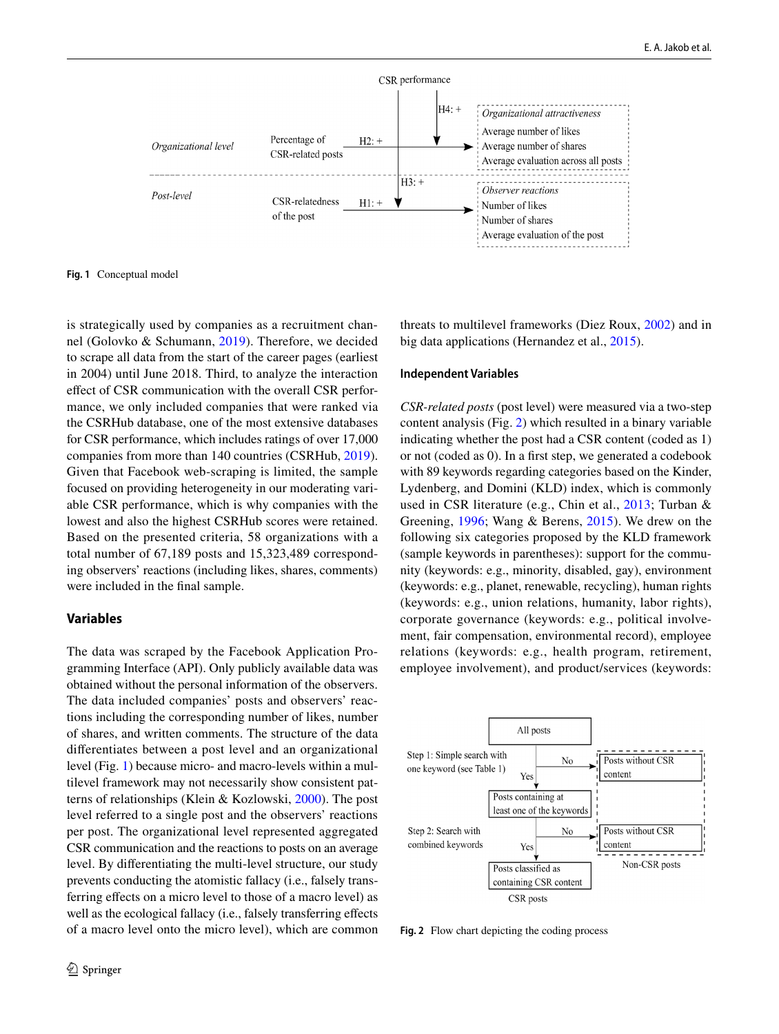

<span id="page-7-0"></span>**Fig. 1** Conceptual model

is strategically used by companies as a recruitment channel (Golovko & Schumann, [2019\)](#page-19-16). Therefore, we decided to scrape all data from the start of the career pages (earliest in 2004) until June 2018. Third, to analyze the interaction efect of CSR communication with the overall CSR performance, we only included companies that were ranked via the CSRHub database, one of the most extensive databases for CSR performance, which includes ratings of over 17,000 companies from more than 140 countries (CSRHub, [2019](#page-19-23)). Given that Facebook web-scraping is limited, the sample focused on providing heterogeneity in our moderating variable CSR performance, which is why companies with the lowest and also the highest CSRHub scores were retained. Based on the presented criteria, 58 organizations with a total number of 67,189 posts and 15,323,489 corresponding observers' reactions (including likes, shares, comments) were included in the fnal sample.

#### **Variables**

The data was scraped by the Facebook Application Programming Interface (API). Only publicly available data was obtained without the personal information of the observers. The data included companies' posts and observers' reactions including the corresponding number of likes, number of shares, and written comments. The structure of the data diferentiates between a post level and an organizational level (Fig. [1](#page-7-0)) because micro- and macro-levels within a multilevel framework may not necessarily show consistent patterns of relationships (Klein & Kozlowski, [2000\)](#page-20-24). The post level referred to a single post and the observers' reactions per post. The organizational level represented aggregated CSR communication and the reactions to posts on an average level. By diferentiating the multi-level structure, our study prevents conducting the atomistic fallacy (i.e., falsely transferring effects on a micro level to those of a macro level) as well as the ecological fallacy (i.e., falsely transferring effects of a macro level onto the micro level), which are common threats to multilevel frameworks (Diez Roux, [2002\)](#page-19-24) and in big data applications (Hernandez et al., [2015\)](#page-20-25).

#### **Independent Variables**

*CSR-related posts* (post level) were measured via a two-step content analysis (Fig. [2\)](#page-7-1) which resulted in a binary variable indicating whether the post had a CSR content (coded as 1) or not (coded as 0). In a frst step, we generated a codebook with 89 keywords regarding categories based on the Kinder, Lydenberg, and Domini (KLD) index, which is commonly used in CSR literature (e.g., Chin et al., [2013;](#page-19-25) Turban & Greening, [1996;](#page-21-2) Wang & Berens, [2015](#page-22-11)). We drew on the following six categories proposed by the KLD framework (sample keywords in parentheses): support for the community (keywords: e.g., minority, disabled, gay), environment (keywords: e.g., planet, renewable, recycling), human rights (keywords: e.g., union relations, humanity, labor rights), corporate governance (keywords: e.g., political involvement, fair compensation, environmental record), employee relations (keywords: e.g., health program, retirement, employee involvement), and product/services (keywords:



<span id="page-7-1"></span>**Fig. 2** Flow chart depicting the coding process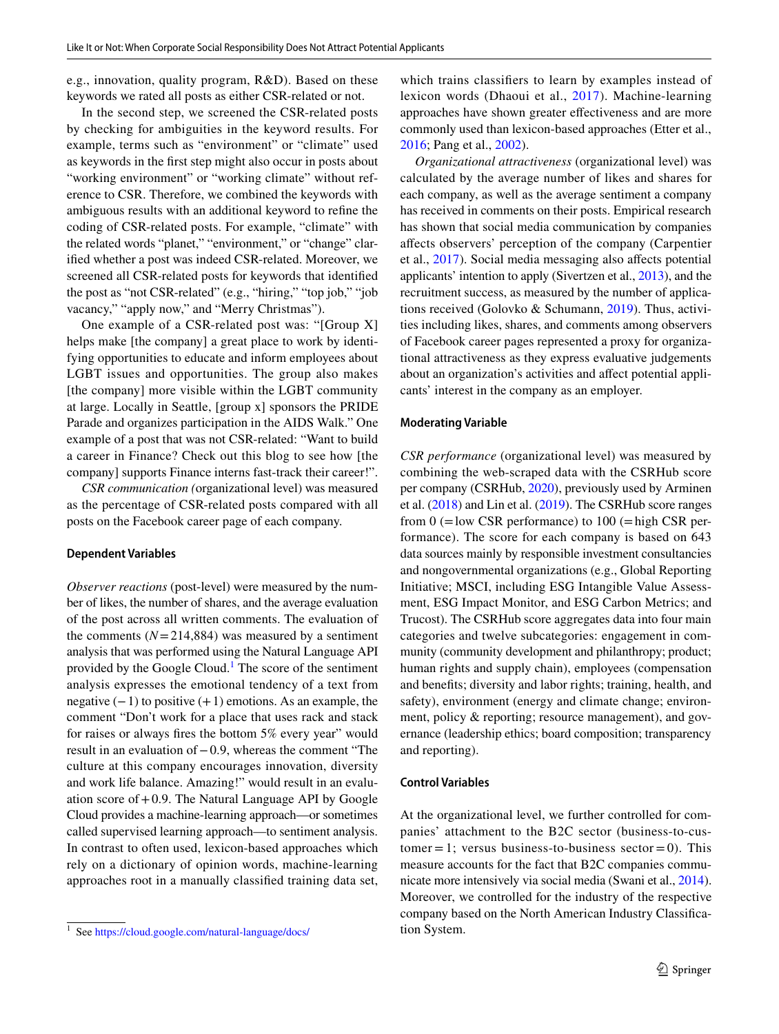e.g., innovation, quality program, R&D). Based on these keywords we rated all posts as either CSR-related or not.

In the second step, we screened the CSR-related posts by checking for ambiguities in the keyword results. For example, terms such as "environment" or "climate" used as keywords in the frst step might also occur in posts about "working environment" or "working climate" without reference to CSR. Therefore, we combined the keywords with ambiguous results with an additional keyword to refne the coding of CSR-related posts. For example, "climate" with the related words "planet," "environment," or "change" clarifed whether a post was indeed CSR-related. Moreover, we screened all CSR-related posts for keywords that identifed the post as "not CSR-related" (e.g., "hiring," "top job," "job vacancy," "apply now," and "Merry Christmas").

One example of a CSR-related post was: "[Group X] helps make [the company] a great place to work by identifying opportunities to educate and inform employees about LGBT issues and opportunities. The group also makes [the company] more visible within the LGBT community at large. Locally in Seattle, [group x] sponsors the PRIDE Parade and organizes participation in the AIDS Walk." One example of a post that was not CSR-related: "Want to build a career in Finance? Check out this blog to see how [the company] supports Finance interns fast-track their career!".

*CSR communication (*organizational level) was measured as the percentage of CSR-related posts compared with all posts on the Facebook career page of each company.

#### **Dependent Variables**

*Observer reactions* (post-level) were measured by the number of likes, the number of shares, and the average evaluation of the post across all written comments. The evaluation of the comments  $(N=214,884)$  was measured by a sentiment analysis that was performed using the Natural Language API provided by the Google Cloud.<sup>[1](#page-8-0)</sup> The score of the sentiment analysis expresses the emotional tendency of a text from negative  $(-1)$  to positive  $(+1)$  emotions. As an example, the comment "Don't work for a place that uses rack and stack for raises or always fres the bottom 5% every year" would result in an evaluation of−0.9, whereas the comment "The culture at this company encourages innovation, diversity and work life balance. Amazing!" would result in an evaluation score of  $+0.9$ . The Natural Language API by Google Cloud provides a machine-learning approach—or sometimes called supervised learning approach—to sentiment analysis. In contrast to often used, lexicon-based approaches which rely on a dictionary of opinion words, machine-learning approaches root in a manually classifed training data set,

which trains classifers to learn by examples instead of lexicon words (Dhaoui et al., [2017\)](#page-19-26). Machine-learning approaches have shown greater efectiveness and are more commonly used than lexicon-based approaches (Etter et al., [2016](#page-19-27); Pang et al., [2002\)](#page-21-22).

*Organizational attractiveness* (organizational level) was calculated by the average number of likes and shares for each company, as well as the average sentiment a company has received in comments on their posts. Empirical research has shown that social media communication by companies afects observers' perception of the company (Carpentier et al., [2017](#page-18-18)). Social media messaging also afects potential applicants' intention to apply (Sivertzen et al., [2013\)](#page-21-19), and the recruitment success, as measured by the number of applications received (Golovko & Schumann, [2019](#page-19-16)). Thus, activities including likes, shares, and comments among observers of Facebook career pages represented a proxy for organizational attractiveness as they express evaluative judgements about an organization's activities and afect potential applicants' interest in the company as an employer.

#### **Moderating Variable**

*CSR performance* (organizational level) was measured by combining the web-scraped data with the CSRHub score per company (CSRHub, [2020\)](#page-19-28), previously used by Arminen et al. [\(2018](#page-18-19)) and Lin et al. [\(2019](#page-20-26)). The CSRHub score ranges from  $0$  (= low CSR performance) to  $100$  (= high CSR performance). The score for each company is based on 643 data sources mainly by responsible investment consultancies and nongovernmental organizations (e.g., Global Reporting Initiative; MSCI, including ESG Intangible Value Assessment, ESG Impact Monitor, and ESG Carbon Metrics; and Trucost). The CSRHub score aggregates data into four main categories and twelve subcategories: engagement in community (community development and philanthropy; product; human rights and supply chain), employees (compensation and benefts; diversity and labor rights; training, health, and safety), environment (energy and climate change; environment, policy & reporting; resource management), and governance (leadership ethics; board composition; transparency and reporting).

#### **Control Variables**

At the organizational level, we further controlled for companies' attachment to the B2C sector (business-to-cus $tomer = 1$ ; versus business-to-business sector = 0). This measure accounts for the fact that B2C companies communicate more intensively via social media (Swani et al., [2014](#page-21-23)). Moreover, we controlled for the industry of the respective company based on the North American Industry Classifca-

<span id="page-8-0"></span>See <https://cloud.google.com/natural-language/docs/> tion System.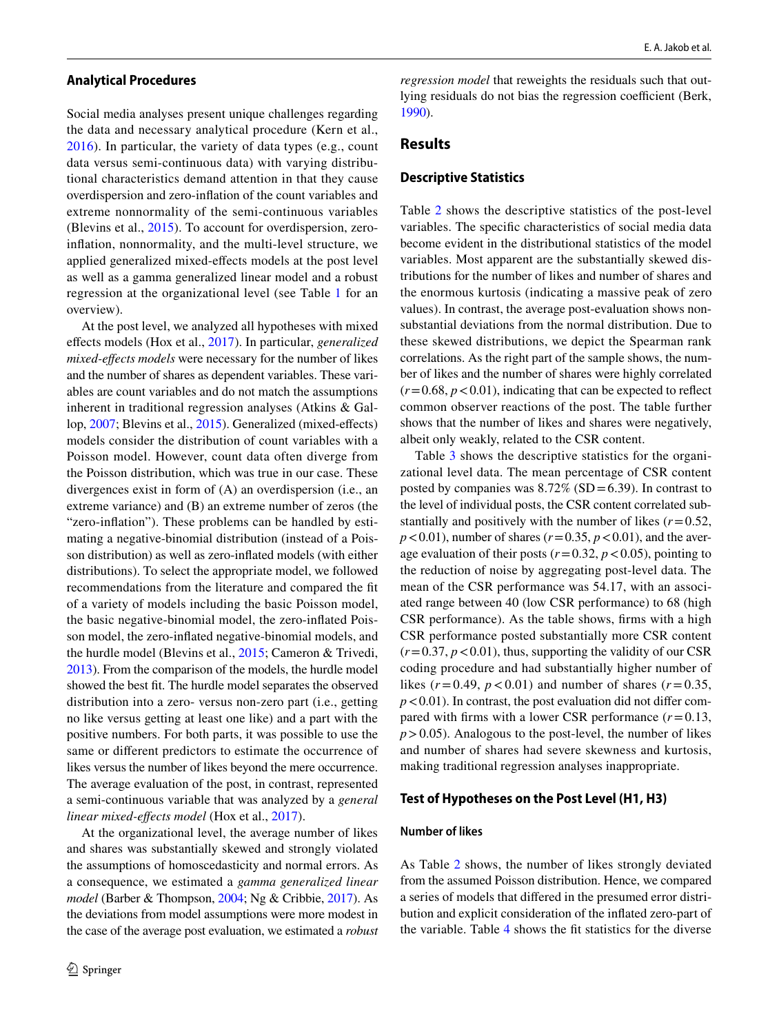#### **Analytical Procedures**

Social media analyses present unique challenges regarding the data and necessary analytical procedure (Kern et al., [2016\)](#page-20-27). In particular, the variety of data types (e.g., count data versus semi-continuous data) with varying distributional characteristics demand attention in that they cause overdispersion and zero-infation of the count variables and extreme nonnormality of the semi-continuous variables (Blevins et al., [2015](#page-18-20)). To account for overdispersion, zeroinfation, nonnormality, and the multi-level structure, we applied generalized mixed-efects models at the post level as well as a gamma generalized linear model and a robust regression at the organizational level (see Table [1](#page-10-0) for an overview).

At the post level, we analyzed all hypotheses with mixed efects models (Hox et al., [2017](#page-20-28)). In particular, *generalized mixed-efects models* were necessary for the number of likes and the number of shares as dependent variables. These variables are count variables and do not match the assumptions inherent in traditional regression analyses (Atkins & Gal-lop, [2007;](#page-18-21) Blevins et al., [2015\)](#page-18-20). Generalized (mixed-effects) models consider the distribution of count variables with a Poisson model. However, count data often diverge from the Poisson distribution, which was true in our case. These divergences exist in form of (A) an overdispersion (i.e., an extreme variance) and (B) an extreme number of zeros (the "zero-infation"). These problems can be handled by estimating a negative-binomial distribution (instead of a Poisson distribution) as well as zero-infated models (with either distributions). To select the appropriate model, we followed recommendations from the literature and compared the ft of a variety of models including the basic Poisson model, the basic negative-binomial model, the zero-infated Poisson model, the zero-infated negative-binomial models, and the hurdle model (Blevins et al., [2015;](#page-18-20) Cameron & Trivedi, [2013\)](#page-18-22). From the comparison of the models, the hurdle model showed the best ft. The hurdle model separates the observed distribution into a zero- versus non-zero part (i.e., getting no like versus getting at least one like) and a part with the positive numbers. For both parts, it was possible to use the same or diferent predictors to estimate the occurrence of likes versus the number of likes beyond the mere occurrence. The average evaluation of the post, in contrast, represented a semi-continuous variable that was analyzed by a *general linear mixed-efects model* (Hox et al., [2017\)](#page-20-28).

At the organizational level, the average number of likes and shares was substantially skewed and strongly violated the assumptions of homoscedasticity and normal errors. As a consequence, we estimated a *gamma generalized linear model* (Barber & Thompson, [2004](#page-18-23); Ng & Cribbie, [2017](#page-21-24)). As the deviations from model assumptions were more modest in the case of the average post evaluation, we estimated a *robust*  *regression model* that reweights the residuals such that outlying residuals do not bias the regression coefficient (Berk, [1990\)](#page-18-24).

## **Results**

#### **Descriptive Statistics**

Table [2](#page-11-0) shows the descriptive statistics of the post-level variables. The specifc characteristics of social media data become evident in the distributional statistics of the model variables. Most apparent are the substantially skewed distributions for the number of likes and number of shares and the enormous kurtosis (indicating a massive peak of zero values). In contrast, the average post-evaluation shows nonsubstantial deviations from the normal distribution. Due to these skewed distributions, we depict the Spearman rank correlations. As the right part of the sample shows, the number of likes and the number of shares were highly correlated  $(r=0.68, p<0.01)$ , indicating that can be expected to reflect common observer reactions of the post. The table further shows that the number of likes and shares were negatively, albeit only weakly, related to the CSR content.

Table [3](#page-11-1) shows the descriptive statistics for the organizational level data. The mean percentage of CSR content posted by companies was  $8.72\%$  (SD=6.39). In contrast to the level of individual posts, the CSR content correlated substantially and positively with the number of likes  $(r=0.52)$ ,  $p < 0.01$ ), number of shares ( $r = 0.35$ ,  $p < 0.01$ ), and the average evaluation of their posts  $(r=0.32, p<0.05)$ , pointing to the reduction of noise by aggregating post-level data. The mean of the CSR performance was 54.17, with an associated range between 40 (low CSR performance) to 68 (high CSR performance). As the table shows, frms with a high CSR performance posted substantially more CSR content  $(r=0.37, p<0.01)$ , thus, supporting the validity of our CSR coding procedure and had substantially higher number of likes ( $r = 0.49$ ,  $p < 0.01$ ) and number of shares ( $r = 0.35$ ,  $p < 0.01$ ). In contrast, the post evaluation did not differ compared with firms with a lower CSR performance  $(r=0.13,$  $p > 0.05$ ). Analogous to the post-level, the number of likes and number of shares had severe skewness and kurtosis, making traditional regression analyses inappropriate.

#### **Test of Hypotheses on the Post Level (H1, H3)**

#### **Number of likes**

As Table [2](#page-11-0) shows, the number of likes strongly deviated from the assumed Poisson distribution. Hence, we compared a series of models that difered in the presumed error distribution and explicit consideration of the infated zero-part of the variable. Table [4](#page-11-2) shows the ft statistics for the diverse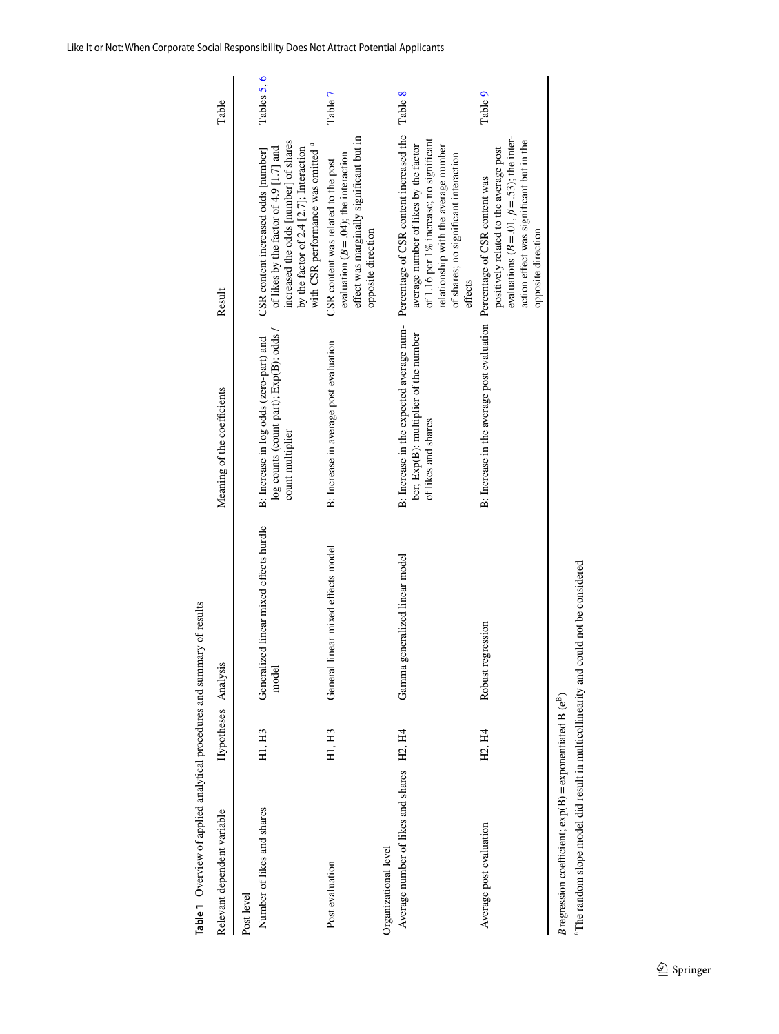<span id="page-10-0"></span>

| Table 1 Overview of applied analytical procedures and summary of results                                                                               |            |                                                  |                                                                                                          |                                                                                                                                                                                                                         |             |
|--------------------------------------------------------------------------------------------------------------------------------------------------------|------------|--------------------------------------------------|----------------------------------------------------------------------------------------------------------|-------------------------------------------------------------------------------------------------------------------------------------------------------------------------------------------------------------------------|-------------|
| Relevant dependent variable                                                                                                                            | Hypotheses | Analysis                                         | Meaning of the coefficients                                                                              | Result                                                                                                                                                                                                                  | Table       |
| Number of likes and shares<br>Post level                                                                                                               | H1, H3     | Generalized linear mixed effects hurdle<br>model | log counts (count part); Exp(B): odds /<br>B: Increase in log odds (zero-part) and<br>count multiplier   | increased the odds [number] of shares<br>with CSR performance was omitted <sup>a</sup><br>of likes by the factor of 4.9 [1.7] and<br>by the factor of 2.4 [2.7]; Interaction<br>CSR content increased odds [number]     | Tables 5, 6 |
| Post evaluation                                                                                                                                        | H1, H3     | General linear mixed effects model               | B: Increase in average post evaluation                                                                   | effect was marginally significant but in<br>evaluation ( $B = .04$ ); the interaction<br>CSR content was related to the post<br>opposite direction                                                                      | Table 7     |
| Average number of likes and shares H2, H4<br>Organizational level                                                                                      |            | Gamma generalized linear model                   | B: Increase in the expected average num-<br>ber; Exp(B): multiplier of the number<br>of likes and shares | Percentage of CSR content increased the<br>of 1.16 per 1% increase; no significant<br>average number of likes by the factor<br>relationship with the average number<br>of shares; no significant interaction<br>effects | Table 8     |
| Average post evaluation                                                                                                                                | H2, H4     | Robust regression                                | B: Increase in the average post evaluation Percentage of CSR content was                                 | evaluations ( $B = .01$ , $\beta = .53$ ); the inter-<br>action effect was significant but in the<br>positively related to the average post<br>opposite direction                                                       | Table 9     |
| aThe random slope model did result in multicollinearity and could not be considered<br>B regression coefficient; $exp(B) = exp$ onentiated B ( $e^B$ ) |            |                                                  |                                                                                                          |                                                                                                                                                                                                                         |             |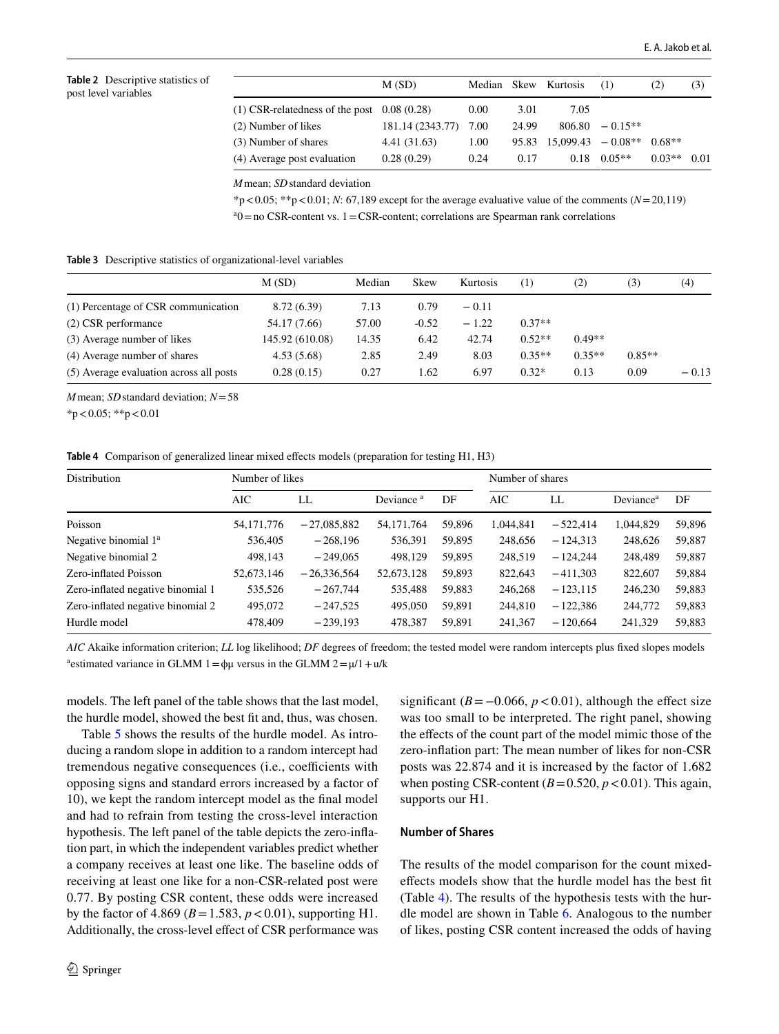#### <span id="page-11-0"></span>**Table 2** Descriptive statistics of post level variables

|                                                   | M(SD)            |      |       | Median Skew Kurtosis | (1)       | (2)      | (3)  |
|---------------------------------------------------|------------------|------|-------|----------------------|-----------|----------|------|
| $(1)$ CSR-relatedness of the post $0.08$ $(0.28)$ |                  | 0.00 | 3.01  | 7.05                 |           |          |      |
| (2) Number of likes                               | 181.14 (2343.77) | 7.00 | 24.99 | 806.80               | $-0.15**$ |          |      |
| (3) Number of shares                              | 4.41(31.63)      | 1.00 | 95.83 | $15.099.43 - 0.08**$ |           | $0.68**$ |      |
| (4) Average post evaluation                       | 0.28(0.29)       | 0.24 | 0.17  | 0.18                 | $0.05**$  | $0.03**$ | 0.01 |

*M*mean; *SD*standard deviation

\*p<0.05; \*\*p<0.01; *N*: 67,189 except for the average evaluative value of the comments (*N*=20,119)

 $a<sup>a</sup>0$  = no CSR-content vs. 1 = CSR-content; correlations are Spearman rank correlations

<span id="page-11-1"></span>

| Table 3 Descriptive statistics of organizational-level variables |  |
|------------------------------------------------------------------|--|
|------------------------------------------------------------------|--|

|                                         | M(SD)           | Median | Skew    | Kurtosis | (1)      | (2)      | (3)      | (4)     |
|-----------------------------------------|-----------------|--------|---------|----------|----------|----------|----------|---------|
| (1) Percentage of CSR communication     | 8.72 (6.39)     | 7.13   | 0.79    | $-0.11$  |          |          |          |         |
| $(2)$ CSR performance                   | 54.17 (7.66)    | 57.00  | $-0.52$ | $-1.22$  | $0.37**$ |          |          |         |
| (3) Average number of likes             | 145.92 (610.08) | 14.35  | 6.42    | 42.74    | $0.52**$ | $0.49**$ |          |         |
| (4) Average number of shares            | 4.53(5.68)      | 2.85   | 2.49    | 8.03     | $0.35**$ | $0.35**$ | $0.85**$ |         |
| (5) Average evaluation across all posts | 0.28(0.15)      | 0.27   | 1.62    | 6.97     | $0.32*$  | 0.13     | 0.09     | $-0.13$ |

*M*mean; *SD*standard deviation; *N*=58

 $*p < 0.05$ ;  $* p < 0.01$ 

<span id="page-11-2"></span>**Table 4** Comparison of generalized linear mixed efects models (preparation for testing H1, H3)

| <b>Distribution</b>               | Number of likes |               |                       |        | Number of shares |            |                       |        |
|-----------------------------------|-----------------|---------------|-----------------------|--------|------------------|------------|-----------------------|--------|
|                                   | AIC             | LL            | Deviance <sup>a</sup> | DF     | <b>AIC</b>       | LL         | Deviance <sup>a</sup> | DF     |
| Poisson                           | 54, 171, 776    | $-27,085,882$ | 54, 171, 764          | 59,896 | 1,044,841        | $-522.414$ | 1,044,829             | 59,896 |
| Negative binomial 1 <sup>a</sup>  | 536,405         | $-268,196$    | 536,391               | 59,895 | 248,656          | $-124.313$ | 248,626               | 59,887 |
| Negative binomial 2               | 498.143         | $-249,065$    | 498.129               | 59,895 | 248,519          | $-124.244$ | 248,489               | 59,887 |
| Zero-inflated Poisson             | 52,673,146      | $-26,336,564$ | 52,673,128            | 59,893 | 822,643          | $-411,303$ | 822,607               | 59,884 |
| Zero-inflated negative binomial 1 | 535,526         | $-267,744$    | 535,488               | 59,883 | 246,268          | $-123.115$ | 246,230               | 59,883 |
| Zero-inflated negative binomial 2 | 495,072         | $-247,525$    | 495,050               | 59,891 | 244,810          | $-122.386$ | 244,772               | 59,883 |
| Hurdle model                      | 478,409         | $-239,193$    | 478,387               | 59,891 | 241,367          | $-120,664$ | 241,329               | 59,883 |

*AIC* Akaike information criterion; *LL* log likelihood; *DF* degrees of freedom; the tested model were random intercepts plus fxed slopes models <sup>a</sup>estimated variance in GLMM 1 = φμ versus in the GLMM 2 =  $μ/1 + u/k$ 

models. The left panel of the table shows that the last model, the hurdle model, showed the best ft and, thus, was chosen.

Table [5](#page-12-0) shows the results of the hurdle model. As introducing a random slope in addition to a random intercept had tremendous negative consequences (i.e., coefficients with opposing signs and standard errors increased by a factor of 10), we kept the random intercept model as the fnal model and had to refrain from testing the cross-level interaction hypothesis. The left panel of the table depicts the zero-infation part, in which the independent variables predict whether a company receives at least one like. The baseline odds of receiving at least one like for a non-CSR-related post were 0.77. By posting CSR content, these odds were increased by the factor of 4.869 ( $B = 1.583$ ,  $p < 0.01$ ), supporting H1. Additionally, the cross-level effect of CSR performance was significant  $(B=-0.066, p<0.01)$ , although the effect size was too small to be interpreted. The right panel, showing the efects of the count part of the model mimic those of the zero-infation part: The mean number of likes for non-CSR posts was 22.874 and it is increased by the factor of 1.682 when posting CSR-content  $(B=0.520, p<0.01)$ . This again, supports our H1.

#### **Number of Shares**

The results of the model comparison for the count mixedefects models show that the hurdle model has the best ft (Table [4](#page-11-2)). The results of the hypothesis tests with the hurdle model are shown in Table [6](#page-12-1). Analogous to the number of likes, posting CSR content increased the odds of having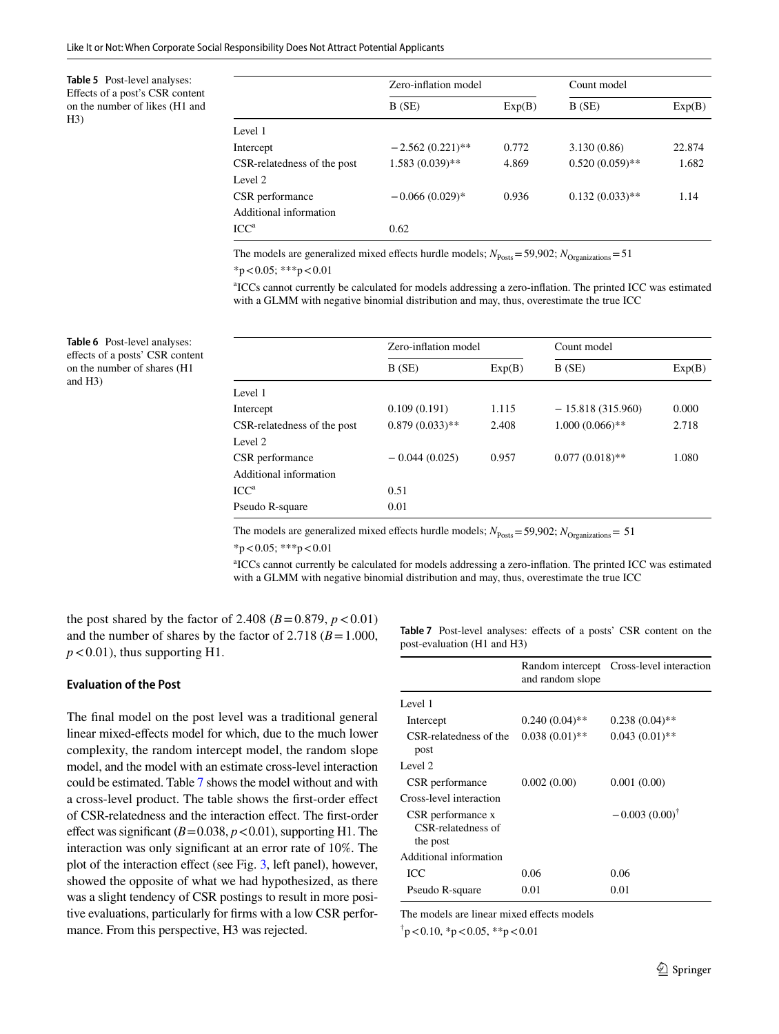<span id="page-12-0"></span>**Table 5** Post-level analyses: Efects of a post's CSR content on the number of likes (H1 and  $H3$ 

|                             | Zero-inflation model |        | Count model       |        |
|-----------------------------|----------------------|--------|-------------------|--------|
|                             | B(SE)                | Exp(B) | B(SE)             | Exp(B) |
| Level 1                     |                      |        |                   |        |
| Intercept                   | $-2.562(0.221)$ **   | 0.772  | 3.130(0.86)       | 22.874 |
| CSR-relatedness of the post | $1.583(0.039)$ **    | 4.869  | $0.520(0.059)$ ** | 1.682  |
| Level 2                     |                      |        |                   |        |
| CSR performance             | $-0.066(0.029)$ *    | 0.936  | $0.132(0.033)$ ** | 1.14   |
| Additional information      |                      |        |                   |        |
| $\mathrm{ICC}^{\mathrm{a}}$ | 0.62                 |        |                   |        |

The models are generalized mixed effects hurdle models;  $N_{\text{Post}} = 59,902$ ;  $N_{\text{Organizations}} = 51$ 

 $*p<0.05$ ;  $**p<0.01$ 

<sup>a</sup>ICCs cannot currently be calculated for models addressing a zero-inflation. The printed ICC was estimated with a GLMM with negative binomial distribution and may, thus, overestimate the true ICC

<span id="page-12-1"></span>**Table 6** Post-level analyses: efects of a posts' CSR content on the number of shares (H1 and H3)

|                             | Zero-inflation model |        | Count model        |        |  |  |
|-----------------------------|----------------------|--------|--------------------|--------|--|--|
|                             | B(SE)                | Exp(B) | B(SE)              | Exp(B) |  |  |
| Level 1                     |                      |        |                    |        |  |  |
| Intercept                   | 0.109(0.191)         | 1.115  | $-15.818(315.960)$ | 0.000  |  |  |
| CSR-relatedness of the post | $0.879(0.033)$ **    | 2.408  | $1.000(0.066)$ **  | 2.718  |  |  |
| Level 2                     |                      |        |                    |        |  |  |
| CSR performance             | $-0.044(0.025)$      | 0.957  | $0.077(0.018)$ **  | 1.080  |  |  |
| Additional information      |                      |        |                    |        |  |  |
| ICCª                        | 0.51                 |        |                    |        |  |  |
| Pseudo R-square             | 0.01                 |        |                    |        |  |  |

The models are generalized mixed effects hurdle models;  $N_{\text{Posts}} = 59,902$ ;  $N_{\text{Organizations}} = 51$  $*p<0.05$ ;  $**p<0.01$ 

<sup>a</sup>ICCs cannot currently be calculated for models addressing a zero-inflation. The printed ICC was estimated with a GLMM with negative binomial distribution and may, thus, overestimate the true ICC

the post shared by the factor of 2.408 ( $B = 0.879$ ,  $p < 0.01$ ) and the number of shares by the factor of  $2.718$  ( $B = 1.000$ ,  $p < 0.01$ ), thus supporting H1.

#### **Evaluation of the Post**

The fnal model on the post level was a traditional general linear mixed-efects model for which, due to the much lower complexity, the random intercept model, the random slope model, and the model with an estimate cross-level interaction could be estimated. Table [7](#page-12-2) shows the model without and with a cross-level product. The table shows the frst-order efect of CSR-relatedness and the interaction efect. The frst-order effect was significant  $(B=0.038, p<0.01)$ , supporting H1. The interaction was only signifcant at an error rate of 10%. The plot of the interaction efect (see Fig. [3,](#page-13-1) left panel), however, showed the opposite of what we had hypothesized, as there was a slight tendency of CSR postings to result in more positive evaluations, particularly for frms with a low CSR performance. From this perspective, H3 was rejected.

<span id="page-12-2"></span>**Table 7** Post-level analyses: efects of a posts' CSR content on the post-evaluation (H1 and H3)

|                                                     | and random slope | Random intercept Cross-level interaction |
|-----------------------------------------------------|------------------|------------------------------------------|
| Level 1                                             |                  |                                          |
| Intercept                                           | $0.240(0.04)$ ** | $0.238(0.04)$ **                         |
| CSR-relatedness of the<br>post                      | $0.038(0.01)$ ** | $0.043(0.01)$ **                         |
| Level 2                                             |                  |                                          |
| CSR performance                                     | 0.002(0.00)      | 0.001(0.00)                              |
| Cross-level interaction                             |                  |                                          |
| CSR performance x<br>CSR-relatedness of<br>the post |                  | $-0.003(0.00)^{\dagger}$                 |
| Additional information                              |                  |                                          |
| ICC                                                 | 0.06             | 0.06                                     |
| Pseudo R-square                                     | 0.01             | 0.01                                     |

The models are linear mixed efects models

 $\frac{1}{p}$  < 0.10, \*p < 0.05, \*\*p < 0.01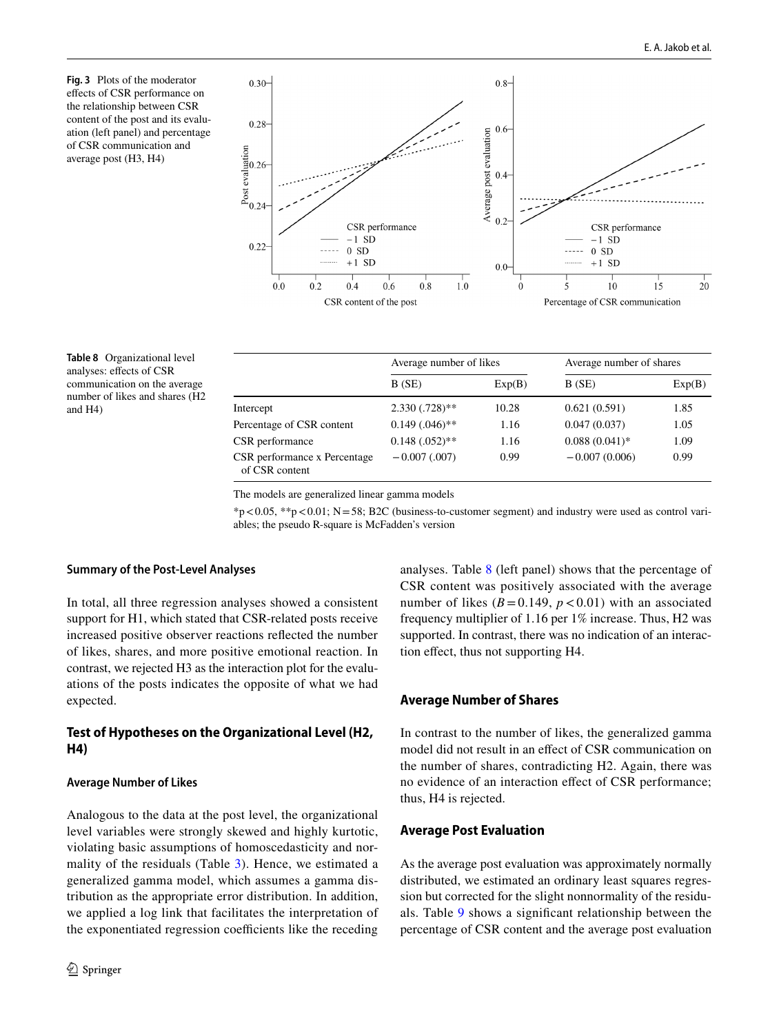<span id="page-13-1"></span>**Fig. 3** Plots of the moderator efects of CSR performance on the relationship between CSR content of the post and its evaluation (left panel) and percentage of CSR communication and average post (H3, H4)



<span id="page-13-0"></span>

| Table 8 Organizational level   |
|--------------------------------|
| analyses: effects of CSR       |
| communication on the average   |
| number of likes and shares (H2 |
| and H4)                        |

|                                                | Average number of likes |        |                  | Average number of shares |  |  |
|------------------------------------------------|-------------------------|--------|------------------|--------------------------|--|--|
|                                                | B(SE)                   | Exp(B) | B(SE)            | Exp(B)                   |  |  |
| Intercept                                      | $2.330(.728)$ **        | 10.28  | 0.621(0.591)     | 1.85                     |  |  |
| Percentage of CSR content                      | $0.149(.046)$ **        | 1.16   | 0.047(0.037)     | 1.05                     |  |  |
| CSR performance                                | $0.148(.052)$ **        | 1.16   | $0.088(0.041)$ * | 1.09                     |  |  |
| CSR performance x Percentage<br>of CSR content | $-0.007(.007)$          | 0.99   | $-0.007(0.006)$  | 0.99                     |  |  |

The models are generalized linear gamma models

\*p<0.05, \*\*p<0.01; N=58; B2C (business-to-customer segment) and industry were used as control variables; the pseudo R-square is McFadden's version

### **Summary of the Post‑Level Analyses**

In total, all three regression analyses showed a consistent support for H1, which stated that CSR-related posts receive increased positive observer reactions refected the number of likes, shares, and more positive emotional reaction. In contrast, we rejected H3 as the interaction plot for the evaluations of the posts indicates the opposite of what we had expected.

### **Test of Hypotheses on the Organizational Level (H2, H4)**

#### **Average Number of Likes**

Analogous to the data at the post level, the organizational level variables were strongly skewed and highly kurtotic, violating basic assumptions of homoscedasticity and normality of the residuals (Table [3\)](#page-11-1). Hence, we estimated a generalized gamma model, which assumes a gamma distribution as the appropriate error distribution. In addition, we applied a log link that facilitates the interpretation of the exponentiated regression coefficients like the receding analyses. Table [8](#page-13-0) (left panel) shows that the percentage of CSR content was positively associated with the average number of likes  $(B=0.149, p<0.01)$  with an associated frequency multiplier of 1.16 per 1% increase. Thus, H2 was supported. In contrast, there was no indication of an interaction efect, thus not supporting H4.

### **Average Number of Shares**

In contrast to the number of likes, the generalized gamma model did not result in an efect of CSR communication on the number of shares, contradicting H2. Again, there was no evidence of an interaction efect of CSR performance; thus, H4 is rejected.

#### **Average Post Evaluation**

As the average post evaluation was approximately normally distributed, we estimated an ordinary least squares regression but corrected for the slight nonnormality of the residuals. Table [9](#page-14-0) shows a signifcant relationship between the percentage of CSR content and the average post evaluation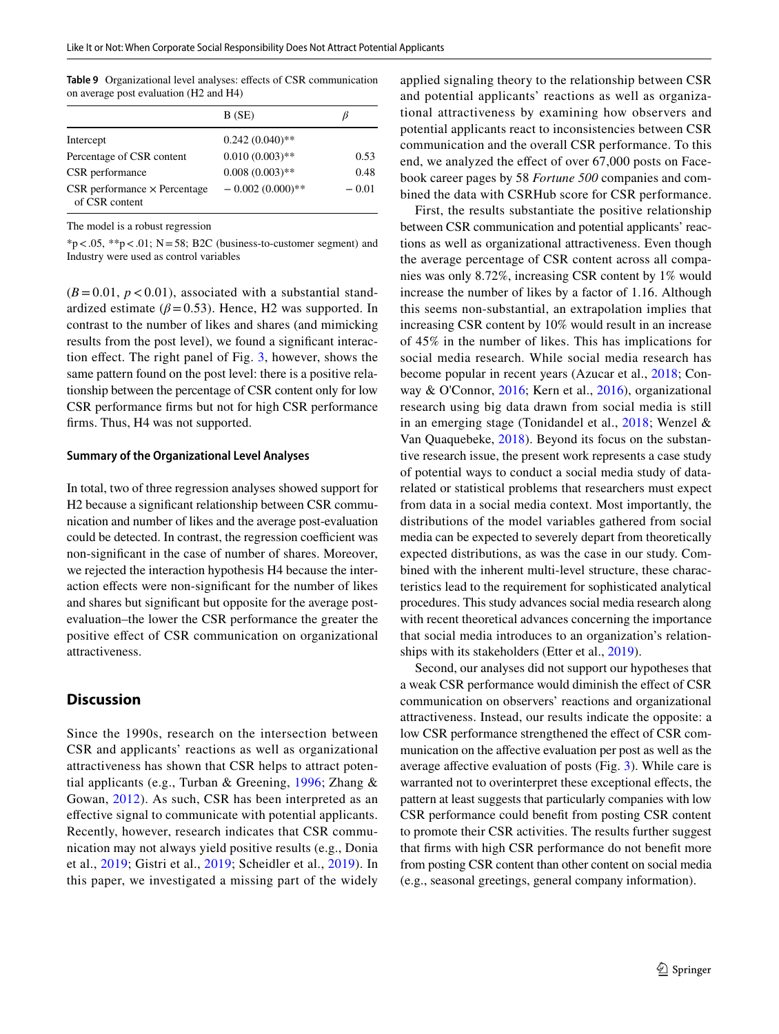<span id="page-14-0"></span>**Table 9** Organizational level analyses: efects of CSR communication on average post evaluation (H2 and H4)

|                                                         | B(SE)              |         |
|---------------------------------------------------------|--------------------|---------|
| Intercept                                               | $0.242(0.040)$ **  |         |
| Percentage of CSR content                               | $0.010(0.003)$ **  | 0.53    |
| CSR performance                                         | $0.008(0.003)$ **  | 0.48    |
| $CSR$ performance $\times$ Percentage<br>of CSR content | $-0.002(0.000)$ ** | $-0.01$ |

The model is a robust regression

\*p<.05, \*\*p<.01; N=58; B2C (business-to-customer segment) and Industry were used as control variables

 $(B=0.01, p<0.01)$ , associated with a substantial standardized estimate ( $\beta$ =0.53). Hence, H2 was supported. In contrast to the number of likes and shares (and mimicking results from the post level), we found a signifcant interaction efect. The right panel of Fig. [3](#page-13-1), however, shows the same pattern found on the post level: there is a positive relationship between the percentage of CSR content only for low CSR performance frms but not for high CSR performance frms. Thus, H4 was not supported.

#### **Summary of the Organizational Level Analyses**

In total, two of three regression analyses showed support for H2 because a signifcant relationship between CSR communication and number of likes and the average post-evaluation could be detected. In contrast, the regression coefficient was non-signifcant in the case of number of shares. Moreover, we rejected the interaction hypothesis H4 because the interaction efects were non-signifcant for the number of likes and shares but signifcant but opposite for the average postevaluation–the lower the CSR performance the greater the positive efect of CSR communication on organizational attractiveness.

# **Discussion**

Since the 1990s, research on the intersection between CSR and applicants' reactions as well as organizational attractiveness has shown that CSR helps to attract potential applicants (e.g., Turban & Greening, [1996;](#page-21-2) Zhang & Gowan, [2012](#page-22-4)). As such, CSR has been interpreted as an efective signal to communicate with potential applicants. Recently, however, research indicates that CSR communication may not always yield positive results (e.g., Donia et al., [2019;](#page-19-2) Gistri et al., [2019](#page-19-4); Scheidler et al., [2019\)](#page-21-6). In this paper, we investigated a missing part of the widely applied signaling theory to the relationship between CSR and potential applicants' reactions as well as organizational attractiveness by examining how observers and potential applicants react to inconsistencies between CSR communication and the overall CSR performance. To this end, we analyzed the effect of over 67,000 posts on Facebook career pages by 58 *Fortune 500* companies and combined the data with CSRHub score for CSR performance.

First, the results substantiate the positive relationship between CSR communication and potential applicants' reactions as well as organizational attractiveness. Even though the average percentage of CSR content across all companies was only 8.72%, increasing CSR content by 1% would increase the number of likes by a factor of 1.16. Although this seems non-substantial, an extrapolation implies that increasing CSR content by 10% would result in an increase of 45% in the number of likes. This has implications for social media research. While social media research has become popular in recent years (Azucar et al., [2018](#page-18-25); Conway & O'Connor, [2016;](#page-19-29) Kern et al., [2016](#page-20-27)), organizational research using big data drawn from social media is still in an emerging stage (Tonidandel et al., [2018;](#page-21-25) Wenzel & Van Quaquebeke, [2018\)](#page-22-12). Beyond its focus on the substantive research issue, the present work represents a case study of potential ways to conduct a social media study of datarelated or statistical problems that researchers must expect from data in a social media context. Most importantly, the distributions of the model variables gathered from social media can be expected to severely depart from theoretically expected distributions, as was the case in our study. Combined with the inherent multi-level structure, these characteristics lead to the requirement for sophisticated analytical procedures. This study advances social media research along with recent theoretical advances concerning the importance that social media introduces to an organization's relationships with its stakeholders (Etter et al., [2019\)](#page-19-5).

Second, our analyses did not support our hypotheses that a weak CSR performance would diminish the efect of CSR communication on observers' reactions and organizational attractiveness. Instead, our results indicate the opposite: a low CSR performance strengthened the effect of CSR communication on the afective evaluation per post as well as the average afective evaluation of posts (Fig. [3](#page-13-1)). While care is warranted not to overinterpret these exceptional efects, the pattern at least suggests that particularly companies with low CSR performance could beneft from posting CSR content to promote their CSR activities. The results further suggest that frms with high CSR performance do not beneft more from posting CSR content than other content on social media (e.g., seasonal greetings, general company information).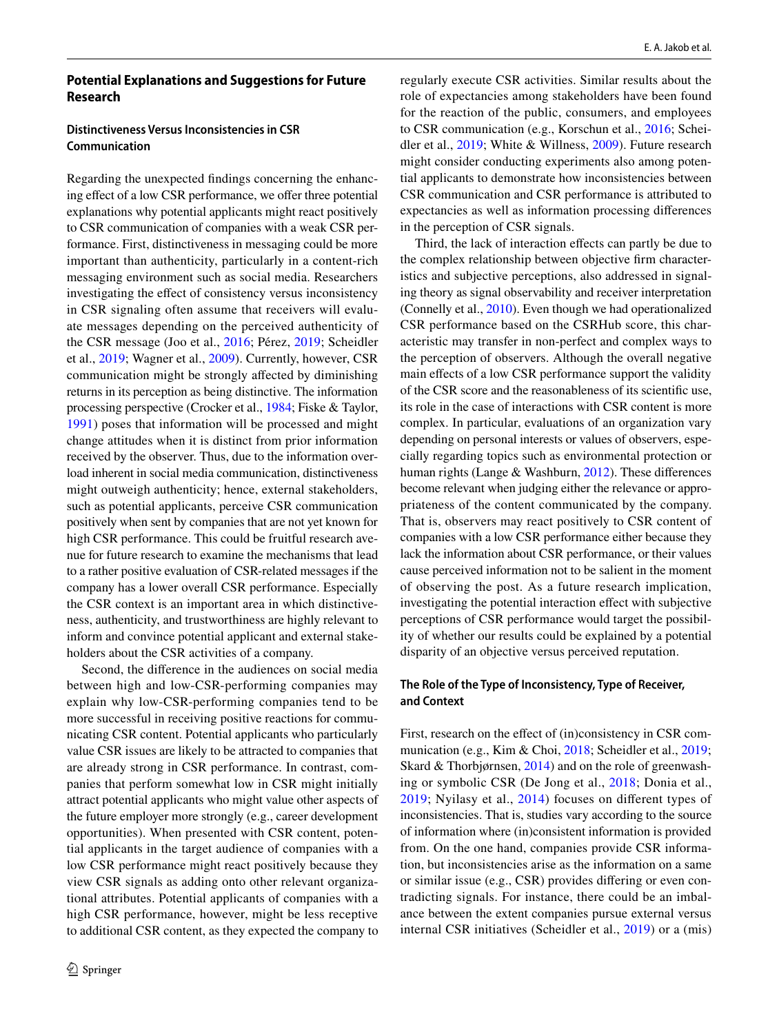### **Potential Explanations and Suggestions for Future Research**

## **Distinctiveness Versus Inconsistencies in CSR Communication**

Regarding the unexpected fndings concerning the enhancing effect of a low CSR performance, we offer three potential explanations why potential applicants might react positively to CSR communication of companies with a weak CSR performance. First, distinctiveness in messaging could be more important than authenticity, particularly in a content-rich messaging environment such as social media. Researchers investigating the efect of consistency versus inconsistency in CSR signaling often assume that receivers will evaluate messages depending on the perceived authenticity of the CSR message (Joo et al., [2016](#page-20-21); Pérez, [2019](#page-21-26); Scheidler et al., [2019;](#page-21-6) Wagner et al., [2009\)](#page-22-0). Currently, however, CSR communication might be strongly afected by diminishing returns in its perception as being distinctive. The information processing perspective (Crocker et al., [1984;](#page-19-30) Fiske & Taylor, [1991](#page-19-31)) poses that information will be processed and might change attitudes when it is distinct from prior information received by the observer. Thus, due to the information overload inherent in social media communication, distinctiveness might outweigh authenticity; hence, external stakeholders, such as potential applicants, perceive CSR communication positively when sent by companies that are not yet known for high CSR performance. This could be fruitful research avenue for future research to examine the mechanisms that lead to a rather positive evaluation of CSR-related messages if the company has a lower overall CSR performance. Especially the CSR context is an important area in which distinctiveness, authenticity, and trustworthiness are highly relevant to inform and convince potential applicant and external stakeholders about the CSR activities of a company.

Second, the diference in the audiences on social media between high and low-CSR-performing companies may explain why low-CSR-performing companies tend to be more successful in receiving positive reactions for communicating CSR content. Potential applicants who particularly value CSR issues are likely to be attracted to companies that are already strong in CSR performance. In contrast, companies that perform somewhat low in CSR might initially attract potential applicants who might value other aspects of the future employer more strongly (e.g., career development opportunities). When presented with CSR content, potential applicants in the target audience of companies with a low CSR performance might react positively because they view CSR signals as adding onto other relevant organizational attributes. Potential applicants of companies with a high CSR performance, however, might be less receptive to additional CSR content, as they expected the company to regularly execute CSR activities. Similar results about the role of expectancies among stakeholders have been found for the reaction of the public, consumers, and employees to CSR communication (e.g., Korschun et al., [2016](#page-20-29); Scheidler et al., [2019;](#page-21-6) White & Willness, [2009](#page-22-8)). Future research might consider conducting experiments also among potential applicants to demonstrate how inconsistencies between CSR communication and CSR performance is attributed to expectancies as well as information processing diferences in the perception of CSR signals.

Third, the lack of interaction efects can partly be due to the complex relationship between objective frm characteristics and subjective perceptions, also addressed in signaling theory as signal observability and receiver interpretation (Connelly et al., [2010\)](#page-19-6). Even though we had operationalized CSR performance based on the CSRHub score, this characteristic may transfer in non-perfect and complex ways to the perception of observers. Although the overall negative main effects of a low CSR performance support the validity of the CSR score and the reasonableness of its scientifc use, its role in the case of interactions with CSR content is more complex. In particular, evaluations of an organization vary depending on personal interests or values of observers, especially regarding topics such as environmental protection or human rights (Lange & Washburn, [2012](#page-20-30)). These diferences become relevant when judging either the relevance or appropriateness of the content communicated by the company. That is, observers may react positively to CSR content of companies with a low CSR performance either because they lack the information about CSR performance, or their values cause perceived information not to be salient in the moment of observing the post. As a future research implication, investigating the potential interaction efect with subjective perceptions of CSR performance would target the possibility of whether our results could be explained by a potential disparity of an objective versus perceived reputation.

# **The Role of the Type of Inconsistency, Type of Receiver, and Context**

First, research on the efect of (in)consistency in CSR com-munication (e.g., Kim & Choi, [2018;](#page-20-8) Scheidler et al., [2019](#page-21-6); Skard & Thorbjørnsen, [2014\)](#page-21-21) and on the role of greenwashing or symbolic CSR (De Jong et al., [2018](#page-19-8); Donia et al., [2019;](#page-19-2) Nyilasy et al., [2014\)](#page-21-27) focuses on diferent types of inconsistencies. That is, studies vary according to the source of information where (in)consistent information is provided from. On the one hand, companies provide CSR information, but inconsistencies arise as the information on a same or similar issue (e.g., CSR) provides difering or even contradicting signals. For instance, there could be an imbalance between the extent companies pursue external versus internal CSR initiatives (Scheidler et al., [2019](#page-21-6)) or a (mis)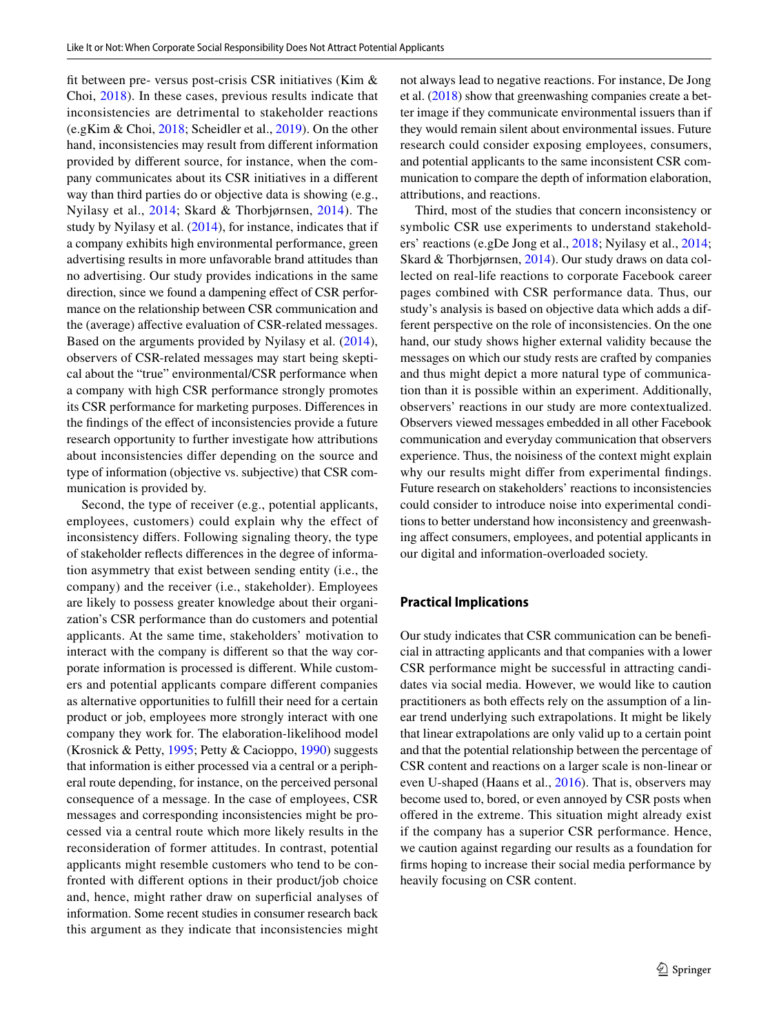ft between pre- versus post-crisis CSR initiatives (Kim & Choi, [2018](#page-20-8)). In these cases, previous results indicate that inconsistencies are detrimental to stakeholder reactions (e.gKim & Choi, [2018](#page-20-8); Scheidler et al., [2019](#page-21-6)). On the other hand, inconsistencies may result from diferent information provided by diferent source, for instance, when the company communicates about its CSR initiatives in a diferent way than third parties do or objective data is showing (e.g., Nyilasy et al., [2014;](#page-21-27) Skard & Thorbjørnsen, [2014\)](#page-21-21). The study by Nyilasy et al. ([2014\)](#page-21-27), for instance, indicates that if a company exhibits high environmental performance, green advertising results in more unfavorable brand attitudes than no advertising. Our study provides indications in the same direction, since we found a dampening efect of CSR performance on the relationship between CSR communication and the (average) afective evaluation of CSR-related messages. Based on the arguments provided by Nyilasy et al. ([2014](#page-21-27)), observers of CSR-related messages may start being skeptical about the "true" environmental/CSR performance when a company with high CSR performance strongly promotes its CSR performance for marketing purposes. Diferences in the fndings of the efect of inconsistencies provide a future research opportunity to further investigate how attributions about inconsistencies difer depending on the source and type of information (objective vs. subjective) that CSR communication is provided by.

Second, the type of receiver (e.g., potential applicants, employees, customers) could explain why the effect of inconsistency difers. Following signaling theory, the type of stakeholder refects diferences in the degree of information asymmetry that exist between sending entity (i.e., the company) and the receiver (i.e., stakeholder). Employees are likely to possess greater knowledge about their organization's CSR performance than do customers and potential applicants. At the same time, stakeholders' motivation to interact with the company is diferent so that the way corporate information is processed is diferent. While customers and potential applicants compare diferent companies as alternative opportunities to fulfll their need for a certain product or job, employees more strongly interact with one company they work for. The elaboration-likelihood model (Krosnick & Petty, [1995](#page-20-31); Petty & Cacioppo, [1990\)](#page-21-28) suggests that information is either processed via a central or a peripheral route depending, for instance, on the perceived personal consequence of a message. In the case of employees, CSR messages and corresponding inconsistencies might be processed via a central route which more likely results in the reconsideration of former attitudes. In contrast, potential applicants might resemble customers who tend to be confronted with diferent options in their product/job choice and, hence, might rather draw on superficial analyses of information. Some recent studies in consumer research back this argument as they indicate that inconsistencies might not always lead to negative reactions. For instance, De Jong et al. [\(2018](#page-19-8)) show that greenwashing companies create a better image if they communicate environmental issuers than if they would remain silent about environmental issues. Future research could consider exposing employees, consumers, and potential applicants to the same inconsistent CSR communication to compare the depth of information elaboration, attributions, and reactions.

Third, most of the studies that concern inconsistency or symbolic CSR use experiments to understand stakeholders' reactions (e.gDe Jong et al., [2018;](#page-19-8) Nyilasy et al., [2014](#page-21-27); Skard & Thorbjørnsen, [2014](#page-21-21)). Our study draws on data collected on real-life reactions to corporate Facebook career pages combined with CSR performance data. Thus, our study's analysis is based on objective data which adds a different perspective on the role of inconsistencies. On the one hand, our study shows higher external validity because the messages on which our study rests are crafted by companies and thus might depict a more natural type of communication than it is possible within an experiment. Additionally, observers' reactions in our study are more contextualized. Observers viewed messages embedded in all other Facebook communication and everyday communication that observers experience. Thus, the noisiness of the context might explain why our results might differ from experimental findings. Future research on stakeholders' reactions to inconsistencies could consider to introduce noise into experimental conditions to better understand how inconsistency and greenwashing afect consumers, employees, and potential applicants in our digital and information-overloaded society.

#### **Practical Implications**

Our study indicates that CSR communication can be benefcial in attracting applicants and that companies with a lower CSR performance might be successful in attracting candidates via social media. However, we would like to caution practitioners as both efects rely on the assumption of a linear trend underlying such extrapolations. It might be likely that linear extrapolations are only valid up to a certain point and that the potential relationship between the percentage of CSR content and reactions on a larger scale is non-linear or even U-shaped (Haans et al., [2016\)](#page-20-32). That is, observers may become used to, bored, or even annoyed by CSR posts when ofered in the extreme. This situation might already exist if the company has a superior CSR performance. Hence, we caution against regarding our results as a foundation for frms hoping to increase their social media performance by heavily focusing on CSR content.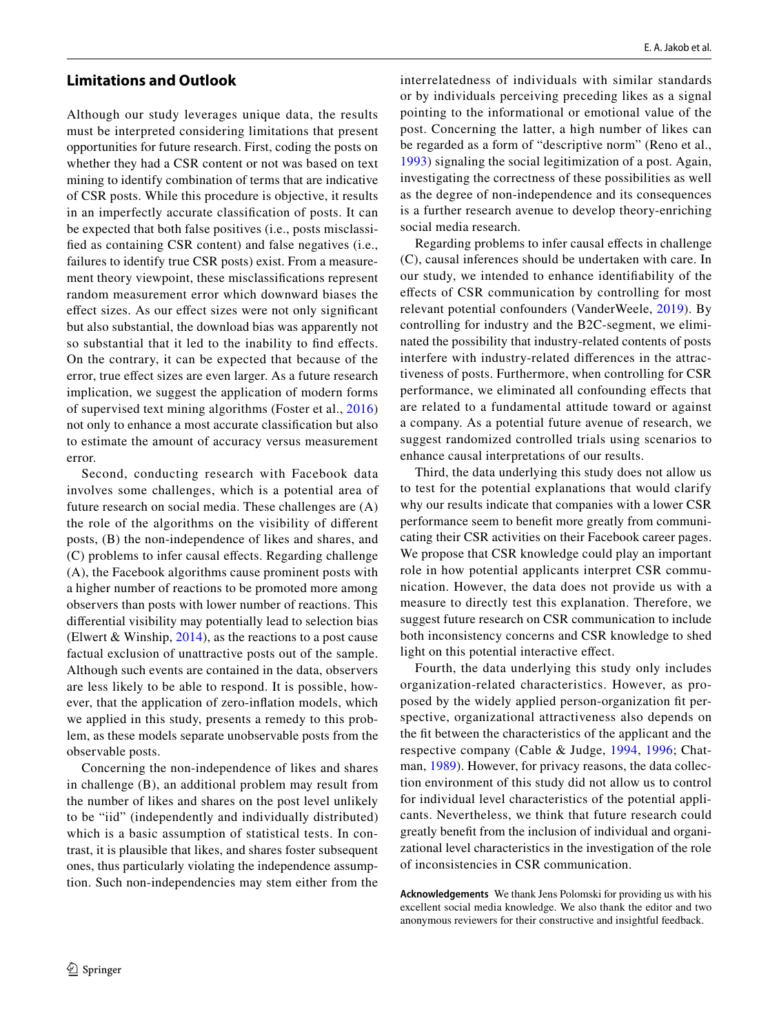### **Limitations and Outlook**

Although our study leverages unique data, the results must be interpreted considering limitations that present opportunities for future research. First, coding the posts on whether they had a CSR content or not was based on text mining to identify combination of terms that are indicative of CSR posts. While this procedure is objective, it results in an imperfectly accurate classifcation of posts. It can be expected that both false positives (i.e., posts misclassifed as containing CSR content) and false negatives (i.e., failures to identify true CSR posts) exist. From a measurement theory viewpoint, these misclassifcations represent random measurement error which downward biases the efect sizes. As our efect sizes were not only signifcant but also substantial, the download bias was apparently not so substantial that it led to the inability to fnd efects. On the contrary, it can be expected that because of the error, true effect sizes are even larger. As a future research implication, we suggest the application of modern forms of supervised text mining algorithms (Foster et al., [2016\)](#page-19-22) not only to enhance a most accurate classifcation but also to estimate the amount of accuracy versus measurement error.

Second, conducting research with Facebook data involves some challenges, which is a potential area of future research on social media. These challenges are (A) the role of the algorithms on the visibility of diferent posts, (B) the non-independence of likes and shares, and (C) problems to infer causal efects. Regarding challenge (A), the Facebook algorithms cause prominent posts with a higher number of reactions to be promoted more among observers than posts with lower number of reactions. This diferential visibility may potentially lead to selection bias (Elwert & Winship, [2014](#page-19-32)), as the reactions to a post cause factual exclusion of unattractive posts out of the sample. Although such events are contained in the data, observers are less likely to be able to respond. It is possible, however, that the application of zero-infation models, which we applied in this study, presents a remedy to this problem, as these models separate unobservable posts from the observable posts.

Concerning the non-independence of likes and shares in challenge (B), an additional problem may result from the number of likes and shares on the post level unlikely to be "iid" (independently and individually distributed) which is a basic assumption of statistical tests. In contrast, it is plausible that likes, and shares foster subsequent ones, thus particularly violating the independence assumption. Such non-independencies may stem either from the interrelatedness of individuals with similar standards or by individuals perceiving preceding likes as a signal pointing to the informational or emotional value of the post. Concerning the latter, a high number of likes can be regarded as a form of "descriptive norm" (Reno et al., [1993\)](#page-21-29) signaling the social legitimization of a post. Again, investigating the correctness of these possibilities as well as the degree of non-independence and its consequences is a further research avenue to develop theory-enriching social media research.

Regarding problems to infer causal efects in challenge (C), causal inferences should be undertaken with care. In our study, we intended to enhance identifability of the efects of CSR communication by controlling for most relevant potential confounders (VanderWeele, [2019](#page-21-30)). By controlling for industry and the B2C-segment, we eliminated the possibility that industry-related contents of posts interfere with industry-related diferences in the attractiveness of posts. Furthermore, when controlling for CSR performance, we eliminated all confounding efects that are related to a fundamental attitude toward or against a company. As a potential future avenue of research, we suggest randomized controlled trials using scenarios to enhance causal interpretations of our results.

Third, the data underlying this study does not allow us to test for the potential explanations that would clarify why our results indicate that companies with a lower CSR performance seem to beneft more greatly from communicating their CSR activities on their Facebook career pages. We propose that CSR knowledge could play an important role in how potential applicants interpret CSR communication. However, the data does not provide us with a measure to directly test this explanation. Therefore, we suggest future research on CSR communication to include both inconsistency concerns and CSR knowledge to shed light on this potential interactive effect.

Fourth, the data underlying this study only includes organization-related characteristics. However, as proposed by the widely applied person-organization ft perspective, organizational attractiveness also depends on the ft between the characteristics of the applicant and the respective company (Cable & Judge, [1994,](#page-18-9) [1996;](#page-18-10) Chat-man, [1989](#page-19-10)). However, for privacy reasons, the data collection environment of this study did not allow us to control for individual level characteristics of the potential applicants. Nevertheless, we think that future research could greatly beneft from the inclusion of individual and organizational level characteristics in the investigation of the role of inconsistencies in CSR communication.

**Acknowledgements** We thank Jens Polomski for providing us with his excellent social media knowledge. We also thank the editor and two anonymous reviewers for their constructive and insightful feedback.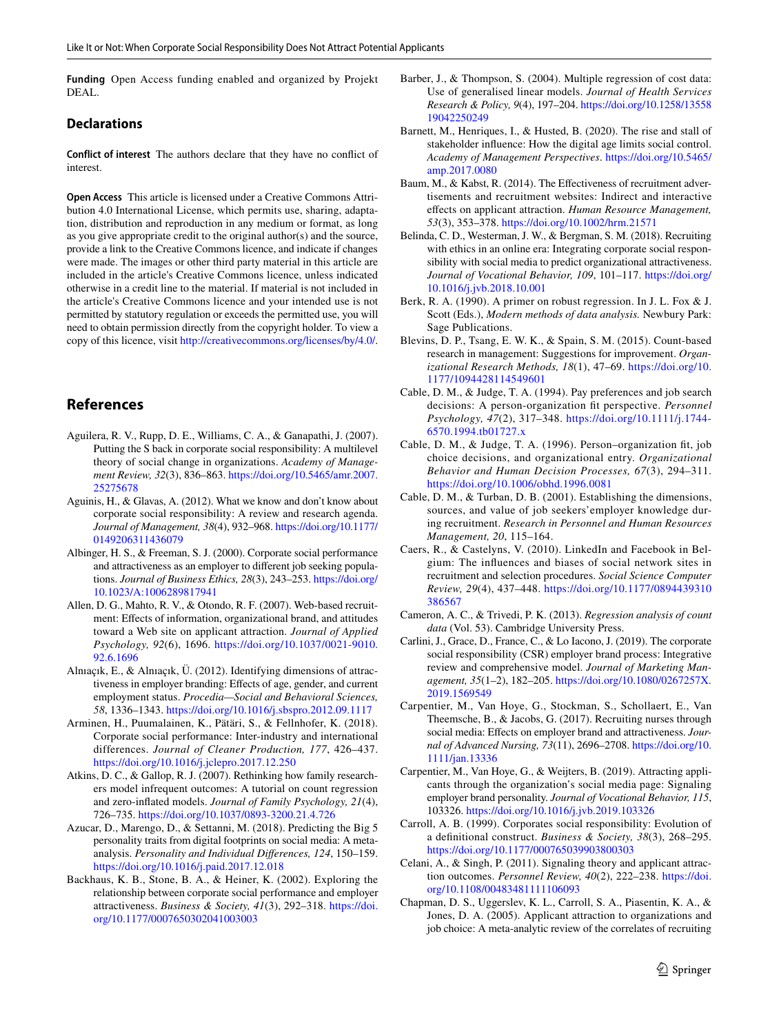**Funding** Open Access funding enabled and organized by Projekt DEAL.

#### **Declarations**

**Conflict of interest** The authors declare that they have no confict of interest.

**Open Access** This article is licensed under a Creative Commons Attribution 4.0 International License, which permits use, sharing, adaptation, distribution and reproduction in any medium or format, as long as you give appropriate credit to the original author(s) and the source, provide a link to the Creative Commons licence, and indicate if changes were made. The images or other third party material in this article are included in the article's Creative Commons licence, unless indicated otherwise in a credit line to the material. If material is not included in the article's Creative Commons licence and your intended use is not permitted by statutory regulation or exceeds the permitted use, you will need to obtain permission directly from the copyright holder. To view a copy of this licence, visit <http://creativecommons.org/licenses/by/4.0/>.

### **References**

- <span id="page-18-12"></span>Aguilera, R. V., Rupp, D. E., Williams, C. A., & Ganapathi, J. (2007). Putting the S back in corporate social responsibility: A multilevel theory of social change in organizations. *Academy of Management Review, 32*(3), 836–863. [https://doi.org/10.5465/amr.2007.](https://doi.org/10.5465/amr.2007.25275678) [25275678](https://doi.org/10.5465/amr.2007.25275678)
- <span id="page-18-0"></span>Aguinis, H., & Glavas, A. (2012). What we know and don't know about corporate social responsibility: A review and research agenda. *Journal of Management, 38*(4), 932–968. [https://doi.org/10.1177/](https://doi.org/10.1177/0149206311436079) [0149206311436079](https://doi.org/10.1177/0149206311436079)
- <span id="page-18-1"></span>Albinger, H. S., & Freeman, S. J. (2000). Corporate social performance and attractiveness as an employer to diferent job seeking populations. *Journal of Business Ethics, 28*(3), 243–253. [https://doi.org/](https://doi.org/10.1023/A:1006289817941) [10.1023/A:1006289817941](https://doi.org/10.1023/A:1006289817941)
- <span id="page-18-3"></span>Allen, D. G., Mahto, R. V., & Otondo, R. F. (2007). Web-based recruitment: Efects of information, organizational brand, and attitudes toward a Web site on applicant attraction. *Journal of Applied Psychology, 92*(6), 1696. [https://doi.org/10.1037/0021-9010.](https://doi.org/10.1037/0021-9010.92.6.1696) [92.6.1696](https://doi.org/10.1037/0021-9010.92.6.1696)
- <span id="page-18-15"></span>Alnıaçık, E., & Alnıaçık, Ü. (2012). Identifying dimensions of attractiveness in employer branding: Efects of age, gender, and current employment status. *Procedia—Social and Behavioral Sciences, 58*, 1336–1343.<https://doi.org/10.1016/j.sbspro.2012.09.1117>
- <span id="page-18-19"></span>Arminen, H., Puumalainen, K., Pätäri, S., & Fellnhofer, K. (2018). Corporate social performance: Inter-industry and international differences. *Journal of Cleaner Production, 177*, 426–437. <https://doi.org/10.1016/j.jclepro.2017.12.250>
- <span id="page-18-21"></span>Atkins, D. C., & Gallop, R. J. (2007). Rethinking how family researchers model infrequent outcomes: A tutorial on count regression and zero-infated models. *Journal of Family Psychology, 21*(4), 726–735. <https://doi.org/10.1037/0893-3200.21.4.726>
- <span id="page-18-25"></span>Azucar, D., Marengo, D., & Settanni, M. (2018). Predicting the Big 5 personality traits from digital footprints on social media: A metaanalysis. *Personality and Individual Diferences, 124*, 150–159. <https://doi.org/10.1016/j.paid.2017.12.018>
- <span id="page-18-11"></span>Backhaus, K. B., Stone, B. A., & Heiner, K. (2002). Exploring the relationship between corporate social performance and employer attractiveness. *Business & Society, 41*(3), 292–318. [https://doi.](https://doi.org/10.1177/0007650302041003003) [org/10.1177/0007650302041003003](https://doi.org/10.1177/0007650302041003003)
- <span id="page-18-23"></span>Barber, J., & Thompson, S. (2004). Multiple regression of cost data: Use of generalised linear models. *Journal of Health Services Research & Policy, 9*(4), 197–204. [https://doi.org/10.1258/13558](https://doi.org/10.1258/1355819042250249) [19042250249](https://doi.org/10.1258/1355819042250249)
- <span id="page-18-13"></span>Barnett, M., Henriques, I., & Husted, B. (2020). The rise and stall of stakeholder infuence: How the digital age limits social control. *Academy of Management Perspectives*. [https://doi.org/10.5465/](https://doi.org/10.5465/amp.2017.0080) [amp.2017.0080](https://doi.org/10.5465/amp.2017.0080)
- <span id="page-18-4"></span>Baum, M., & Kabst, R. (2014). The Efectiveness of recruitment advertisements and recruitment websites: Indirect and interactive efects on applicant attraction. *Human Resource Management, 53*(3), 353–378. <https://doi.org/10.1002/hrm.21571>
- <span id="page-18-16"></span>Belinda, C. D., Westerman, J. W., & Bergman, S. M. (2018). Recruiting with ethics in an online era: Integrating corporate social responsibility with social media to predict organizational attractiveness. *Journal of Vocational Behavior, 109*, 101–117. [https://doi.org/](https://doi.org/10.1016/j.jvb.2018.10.001) [10.1016/j.jvb.2018.10.001](https://doi.org/10.1016/j.jvb.2018.10.001)
- <span id="page-18-24"></span>Berk, R. A. (1990). A primer on robust regression. In J. L. Fox & J. Scott (Eds.), *Modern methods of data analysis.* Newbury Park: Sage Publications.
- <span id="page-18-20"></span>Blevins, D. P., Tsang, E. W. K., & Spain, S. M. (2015). Count-based research in management: Suggestions for improvement. *Organizational Research Methods, 18*(1), 47–69. [https://doi.org/10.](https://doi.org/10.1177/1094428114549601) [1177/1094428114549601](https://doi.org/10.1177/1094428114549601)
- <span id="page-18-9"></span>Cable, D. M., & Judge, T. A. (1994). Pay preferences and job search decisions: A person-organization ft perspective. *Personnel Psychology, 47*(2), 317–348. [https://doi.org/10.1111/j.1744-](https://doi.org/10.1111/j.1744-6570.1994.tb01727.x) [6570.1994.tb01727.x](https://doi.org/10.1111/j.1744-6570.1994.tb01727.x)
- <span id="page-18-10"></span>Cable, D. M., & Judge, T. A. (1996). Person–organization ft, job choice decisions, and organizational entry. *Organizational Behavior and Human Decision Processes, 67*(3), 294–311. <https://doi.org/10.1006/obhd.1996.0081>
- <span id="page-18-8"></span>Cable, D. M., & Turban, D. B. (2001). Establishing the dimensions, sources, and value of job seekers'employer knowledge during recruitment. *Research in Personnel and Human Resources Management, 20*, 115–164.
- <span id="page-18-14"></span>Caers, R., & Castelyns, V. (2010). LinkedIn and Facebook in Belgium: The infuences and biases of social network sites in recruitment and selection procedures. *Social Science Computer Review, 29*(4), 437–448. [https://doi.org/10.1177/0894439310](https://doi.org/10.1177/0894439310386567) [386567](https://doi.org/10.1177/0894439310386567)
- <span id="page-18-22"></span>Cameron, A. C., & Trivedi, P. K. (2013). *Regression analysis of count data* (Vol. 53). Cambridge University Press.
- <span id="page-18-6"></span>Carlini, J., Grace, D., France, C., & Lo Iacono, J. (2019). The corporate social responsibility (CSR) employer brand process: Integrative review and comprehensive model. *Journal of Marketing Management, 35*(1–2), 182–205. [https://doi.org/10.1080/0267257X.](https://doi.org/10.1080/0267257X.2019.1569549) [2019.1569549](https://doi.org/10.1080/0267257X.2019.1569549)
- <span id="page-18-18"></span>Carpentier, M., Van Hoye, G., Stockman, S., Schollaert, E., Van Theemsche, B., & Jacobs, G. (2017). Recruiting nurses through social media: Efects on employer brand and attractiveness. *Journal of Advanced Nursing, 73*(11), 2696–2708. [https://doi.org/10.](https://doi.org/10.1111/jan.13336) [1111/jan.13336](https://doi.org/10.1111/jan.13336)
- <span id="page-18-17"></span>Carpentier, M., Van Hoye, G., & Weijters, B. (2019). Attracting applicants through the organization's social media page: Signaling employer brand personality. *Journal of Vocational Behavior, 115*, 103326. <https://doi.org/10.1016/j.jvb.2019.103326>
- <span id="page-18-2"></span>Carroll, A. B. (1999). Corporates social responsibility: Evolution of a defnitional construct. *Business & Society, 38*(3), 268–295. <https://doi.org/10.1177/000765039903800303>
- <span id="page-18-5"></span>Celani, A., & Singh, P. (2011). Signaling theory and applicant attraction outcomes. *Personnel Review, 40*(2), 222–238. [https://doi.](https://doi.org/10.1108/00483481111106093) [org/10.1108/00483481111106093](https://doi.org/10.1108/00483481111106093)
- <span id="page-18-7"></span>Chapman, D. S., Uggerslev, K. L., Carroll, S. A., Piasentin, K. A., & Jones, D. A. (2005). Applicant attraction to organizations and job choice: A meta-analytic review of the correlates of recruiting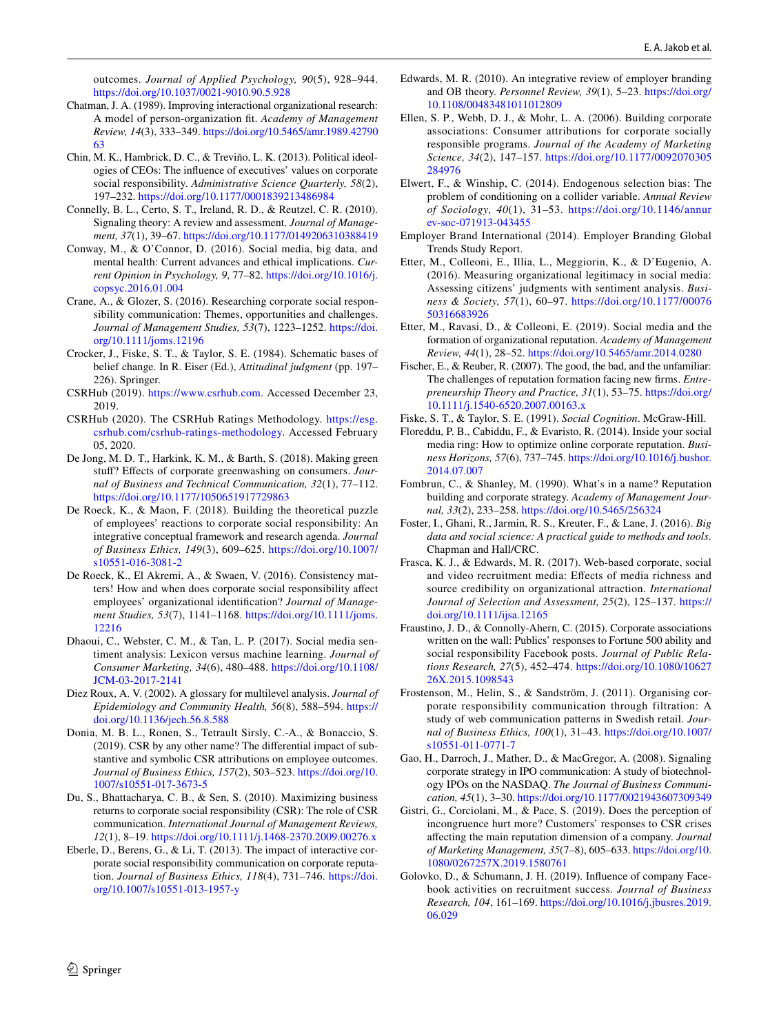outcomes. *Journal of Applied Psychology, 90*(5), 928–944. <https://doi.org/10.1037/0021-9010.90.5.928>

- <span id="page-19-10"></span>Chatman, J. A. (1989). Improving interactional organizational research: A model of person-organization ft. *Academy of Management Review, 14*(3), 333–349. [https://doi.org/10.5465/amr.1989.42790](https://doi.org/10.5465/amr.1989.4279063) [63](https://doi.org/10.5465/amr.1989.4279063)
- <span id="page-19-25"></span>Chin, M. K., Hambrick, D. C., & Treviño, L. K. (2013). Political ideologies of CEOs: The infuence of executives' values on corporate social responsibility. *Administrative Science Quarterly, 58*(2), 197–232. <https://doi.org/10.1177/0001839213486984>
- <span id="page-19-6"></span>Connelly, B. L., Certo, S. T., Ireland, R. D., & Reutzel, C. R. (2010). Signaling theory: A review and assessment. *Journal of Management, 37*(1), 39–67.<https://doi.org/10.1177/0149206310388419>
- <span id="page-19-29"></span>Conway, M., & O'Connor, D. (2016). Social media, big data, and mental health: Current advances and ethical implications. *Current Opinion in Psychology, 9*, 77–82. [https://doi.org/10.1016/j.](https://doi.org/10.1016/j.copsyc.2016.01.004) [copsyc.2016.01.004](https://doi.org/10.1016/j.copsyc.2016.01.004)
- <span id="page-19-0"></span>Crane, A., & Glozer, S. (2016). Researching corporate social responsibility communication: Themes, opportunities and challenges. *Journal of Management Studies, 53*(7), 1223–1252. [https://doi.](https://doi.org/10.1111/joms.12196) [org/10.1111/joms.12196](https://doi.org/10.1111/joms.12196)
- <span id="page-19-30"></span>Crocker, J., Fiske, S. T., & Taylor, S. E. (1984). Schematic bases of belief change. In R. Eiser (Ed.), *Attitudinal judgment* (pp. 197– 226). Springer.
- <span id="page-19-23"></span>CSRHub (2019). <https://www.csrhub.com>. Accessed December 23, 2019.
- <span id="page-19-28"></span>CSRHub (2020). The CSRHub Ratings Methodology. [https://esg.](https://esg.csrhub.com/csrhub-ratings-methodology) [csrhub.com/csrhub-ratings-methodology.](https://esg.csrhub.com/csrhub-ratings-methodology) Accessed February 05, 2020.
- <span id="page-19-8"></span>De Jong, M. D. T., Harkink, K. M., & Barth, S. (2018). Making green stuf? Efects of corporate greenwashing on consumers. *Journal of Business and Technical Communication, 32*(1), 77–112. <https://doi.org/10.1177/1050651917729863>
- <span id="page-19-9"></span>De Roeck, K., & Maon, F. (2018). Building the theoretical puzzle of employees' reactions to corporate social responsibility: An integrative conceptual framework and research agenda. *Journal of Business Ethics, 149*(3), 609–625. [https://doi.org/10.1007/](https://doi.org/10.1007/s10551-016-3081-2) [s10551-016-3081-2](https://doi.org/10.1007/s10551-016-3081-2)
- <span id="page-19-7"></span>De Roeck, K., El Akremi, A., & Swaen, V. (2016). Consistency matters! How and when does corporate social responsibility afect employees' organizational identifcation? *Journal of Management Studies, 53*(7), 1141–1168. [https://doi.org/10.1111/joms.](https://doi.org/10.1111/joms.12216) [12216](https://doi.org/10.1111/joms.12216)
- <span id="page-19-26"></span>Dhaoui, C., Webster, C. M., & Tan, L. P. (2017). Social media sentiment analysis: Lexicon versus machine learning. *Journal of Consumer Marketing, 34*(6), 480–488. [https://doi.org/10.1108/](https://doi.org/10.1108/JCM-03-2017-2141) [JCM-03-2017-2141](https://doi.org/10.1108/JCM-03-2017-2141)
- <span id="page-19-24"></span>Diez Roux, A. V. (2002). A glossary for multilevel analysis. *Journal of Epidemiology and Community Health, 56*(8), 588–594. [https://](https://doi.org/10.1136/jech.56.8.588) [doi.org/10.1136/jech.56.8.588](https://doi.org/10.1136/jech.56.8.588)
- <span id="page-19-2"></span>Donia, M. B. L., Ronen, S., Tetrault Sirsly, C.-A., & Bonaccio, S. (2019). CSR by any other name? The diferential impact of substantive and symbolic CSR attributions on employee outcomes. *Journal of Business Ethics, 157*(2), 503–523. [https://doi.org/10.](https://doi.org/10.1007/s10551-017-3673-5) [1007/s10551-017-3673-5](https://doi.org/10.1007/s10551-017-3673-5)
- <span id="page-19-1"></span>Du, S., Bhattacharya, C. B., & Sen, S. (2010). Maximizing business returns to corporate social responsibility (CSR): The role of CSR communication. *International Journal of Management Reviews, 12*(1), 8–19. <https://doi.org/10.1111/j.1468-2370.2009.00276.x>
- <span id="page-19-17"></span>Eberle, D., Berens, G., & Li, T. (2013). The impact of interactive corporate social responsibility communication on corporate reputation. *Journal of Business Ethics, 118*(4), 731–746. [https://doi.](https://doi.org/10.1007/s10551-013-1957-y) [org/10.1007/s10551-013-1957-y](https://doi.org/10.1007/s10551-013-1957-y)
- <span id="page-19-11"></span>Edwards, M. R. (2010). An integrative review of employer branding and OB theory. *Personnel Review, 39*(1), 5–23. [https://doi.org/](https://doi.org/10.1108/00483481011012809) [10.1108/00483481011012809](https://doi.org/10.1108/00483481011012809)
- <span id="page-19-3"></span>Ellen, S. P., Webb, D. J., & Mohr, L. A. (2006). Building corporate associations: Consumer attributions for corporate socially responsible programs. *Journal of the Academy of Marketing Science, 34*(2), 147–157. [https://doi.org/10.1177/0092070305](https://doi.org/10.1177/0092070305284976) [284976](https://doi.org/10.1177/0092070305284976)
- <span id="page-19-32"></span>Elwert, F., & Winship, C. (2014). Endogenous selection bias: The problem of conditioning on a collider variable. *Annual Review of Sociology, 40*(1), 31–53. [https://doi.org/10.1146/annur](https://doi.org/10.1146/annurev-soc-071913-043455) [ev-soc-071913-043455](https://doi.org/10.1146/annurev-soc-071913-043455)
- <span id="page-19-15"></span>Employer Brand International (2014). Employer Branding Global Trends Study Report.
- <span id="page-19-27"></span>Etter, M., Colleoni, E., Illia, L., Meggiorin, K., & D'Eugenio, A. (2016). Measuring organizational legitimacy in social media: Assessing citizens' judgments with sentiment analysis. *Business & Society, 57*(1), 60–97. [https://doi.org/10.1177/00076](https://doi.org/10.1177/0007650316683926) [50316683926](https://doi.org/10.1177/0007650316683926)
- <span id="page-19-5"></span>Etter, M., Ravasi, D., & Colleoni, E. (2019). Social media and the formation of organizational reputation. *Academy of Management Review, 44*(1), 28–52. <https://doi.org/10.5465/amr.2014.0280>
- <span id="page-19-21"></span>Fischer, E., & Reuber, R. (2007). The good, the bad, and the unfamiliar: The challenges of reputation formation facing new frms. *Entrepreneurship Theory and Practice, 31*(1), 53–75. [https://doi.org/](https://doi.org/10.1111/j.1540-6520.2007.00163.x) [10.1111/j.1540-6520.2007.00163.x](https://doi.org/10.1111/j.1540-6520.2007.00163.x)
- <span id="page-19-31"></span>Fiske, S. T., & Taylor, S. E. (1991). *Social Cognition*. McGraw-Hill.
- <span id="page-19-14"></span>Floreddu, P. B., Cabiddu, F., & Evaristo, R. (2014). Inside your social media ring: How to optimize online corporate reputation. *Business Horizons, 57*(6), 737–745. [https://doi.org/10.1016/j.bushor.](https://doi.org/10.1016/j.bushor.2014.07.007) [2014.07.007](https://doi.org/10.1016/j.bushor.2014.07.007)
- <span id="page-19-12"></span>Fombrun, C., & Shanley, M. (1990). What's in a name? Reputation building and corporate strategy. *Academy of Management Journal, 33*(2), 233–258.<https://doi.org/10.5465/256324>
- <span id="page-19-22"></span>Foster, I., Ghani, R., Jarmin, R. S., Kreuter, F., & Lane, J. (2016). *Big data and social science: A practical guide to methods and tools*. Chapman and Hall/CRC.
- <span id="page-19-19"></span>Frasca, K. J., & Edwards, M. R. (2017). Web-based corporate, social and video recruitment media: Efects of media richness and source credibility on organizational attraction. *International Journal of Selection and Assessment, 25*(2), 125–137. [https://](https://doi.org/10.1111/ijsa.12165) [doi.org/10.1111/ijsa.12165](https://doi.org/10.1111/ijsa.12165)
- <span id="page-19-18"></span>Fraustino, J. D., & Connolly-Ahern, C. (2015). Corporate associations written on the wall: Publics' responses to Fortune 500 ability and social responsibility Facebook posts. *Journal of Public Relations Research, 27*(5), 452–474. [https://doi.org/10.1080/10627](https://doi.org/10.1080/1062726X.2015.1098543) [26X.2015.1098543](https://doi.org/10.1080/1062726X.2015.1098543)
- <span id="page-19-13"></span>Frostenson, M., Helin, S., & Sandström, J. (2011). Organising corporate responsibility communication through filtration: A study of web communication patterns in Swedish retail. *Journal of Business Ethics, 100*(1), 31–43. [https://doi.org/10.1007/](https://doi.org/10.1007/s10551-011-0771-7) [s10551-011-0771-7](https://doi.org/10.1007/s10551-011-0771-7)
- <span id="page-19-20"></span>Gao, H., Darroch, J., Mather, D., & MacGregor, A. (2008). Signaling corporate strategy in IPO communication: A study of biotechnology IPOs on the NASDAQ. *The Journal of Business Communication, 45*(1), 3–30. <https://doi.org/10.1177/0021943607309349>
- <span id="page-19-4"></span>Gistri, G., Corciolani, M., & Pace, S. (2019). Does the perception of incongruence hurt more? Customers' responses to CSR crises afecting the main reputation dimension of a company. *Journal of Marketing Management, 35*(7–8), 605–633. [https://doi.org/10.](https://doi.org/10.1080/0267257X.2019.1580761) [1080/0267257X.2019.1580761](https://doi.org/10.1080/0267257X.2019.1580761)
- <span id="page-19-16"></span>Golovko, D., & Schumann, J. H. (2019). Infuence of company Facebook activities on recruitment success. *Journal of Business Research, 104*, 161–169. [https://doi.org/10.1016/j.jbusres.2019.](https://doi.org/10.1016/j.jbusres.2019.06.029) [06.029](https://doi.org/10.1016/j.jbusres.2019.06.029)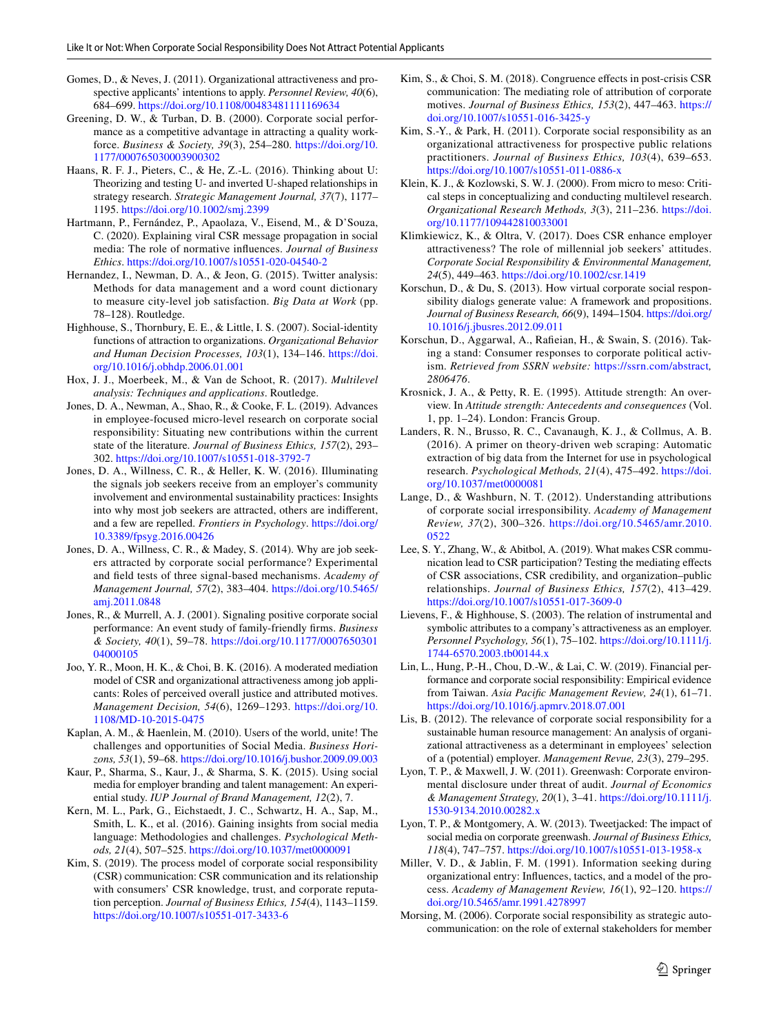- <span id="page-20-12"></span>Gomes, D., & Neves, J. (2011). Organizational attractiveness and prospective applicants' intentions to apply. *Personnel Review, 40*(6), 684–699. <https://doi.org/10.1108/00483481111169634>
- <span id="page-20-4"></span>Greening, D. W., & Turban, D. B. (2000). Corporate social performance as a competitive advantage in attracting a quality workforce. *Business & Society, 39*(3), 254–280. [https://doi.org/10.](https://doi.org/10.1177/000765030003900302) [1177/000765030003900302](https://doi.org/10.1177/000765030003900302)
- <span id="page-20-32"></span>Haans, R. F. J., Pieters, C., & He, Z.-L. (2016). Thinking about U: Theorizing and testing U- and inverted U-shaped relationships in strategy research. *Strategic Management Journal, 37*(7), 1177– 1195.<https://doi.org/10.1002/smj.2399>
- <span id="page-20-18"></span>Hartmann, P., Fernández, P., Apaolaza, V., Eisend, M., & D'Souza, C. (2020). Explaining viral CSR message propagation in social media: The role of normative infuences. *Journal of Business Ethics*.<https://doi.org/10.1007/s10551-020-04540-2>
- <span id="page-20-25"></span>Hernandez, I., Newman, D. A., & Jeon, G. (2015). Twitter analysis: Methods for data management and a word count dictionary to measure city-level job satisfaction. *Big Data at Work* (pp. 78–128). Routledge.
- <span id="page-20-15"></span>Highhouse, S., Thornbury, E. E., & Little, I. S. (2007). Social-identity functions of attraction to organizations. *Organizational Behavior and Human Decision Processes, 103*(1), 134–146. [https://doi.](https://doi.org/10.1016/j.obhdp.2006.01.001) [org/10.1016/j.obhdp.2006.01.001](https://doi.org/10.1016/j.obhdp.2006.01.001)
- <span id="page-20-28"></span>Hox, J. J., Moerbeek, M., & Van de Schoot, R. (2017). *Multilevel analysis: Techniques and applications*. Routledge.
- <span id="page-20-10"></span>Jones, D. A., Newman, A., Shao, R., & Cooke, F. L. (2019). Advances in employee-focused micro-level research on corporate social responsibility: Situating new contributions within the current state of the literature. *Journal of Business Ethics, 157*(2), 293– 302. <https://doi.org/10.1007/s10551-018-3792-7>
- <span id="page-20-2"></span>Jones, D. A., Willness, C. R., & Heller, K. W. (2016). Illuminating the signals job seekers receive from an employer's community involvement and environmental sustainability practices: Insights into why most job seekers are attracted, others are indiferent, and a few are repelled. *Frontiers in Psychology*. [https://doi.org/](https://doi.org/10.3389/fpsyg.2016.00426) [10.3389/fpsyg.2016.00426](https://doi.org/10.3389/fpsyg.2016.00426)
- <span id="page-20-0"></span>Jones, D. A., Willness, C. R., & Madey, S. (2014). Why are job seekers attracted by corporate social performance? Experimental and feld tests of three signal-based mechanisms. *Academy of Management Journal, 57*(2), 383–404. [https://doi.org/10.5465/](https://doi.org/10.5465/amj.2011.0848) [amj.2011.0848](https://doi.org/10.5465/amj.2011.0848)
- <span id="page-20-5"></span>Jones, R., & Murrell, A. J. (2001). Signaling positive corporate social performance: An event study of family-friendly frms. *Business & Society, 40*(1), 59–78. [https://doi.org/10.1177/0007650301](https://doi.org/10.1177/000765030104000105) [04000105](https://doi.org/10.1177/000765030104000105)
- <span id="page-20-21"></span>Joo, Y. R., Moon, H. K., & Choi, B. K. (2016). A moderated mediation model of CSR and organizational attractiveness among job applicants: Roles of perceived overall justice and attributed motives. *Management Decision, 54*(6), 1269–1293. [https://doi.org/10.](https://doi.org/10.1108/MD-10-2015-0475) [1108/MD-10-2015-0475](https://doi.org/10.1108/MD-10-2015-0475)
- <span id="page-20-23"></span>Kaplan, A. M., & Haenlein, M. (2010). Users of the world, unite! The challenges and opportunities of Social Media. *Business Horizons, 53*(1), 59–68.<https://doi.org/10.1016/j.bushor.2009.09.003>
- <span id="page-20-19"></span>Kaur, P., Sharma, S., Kaur, J., & Sharma, S. K. (2015). Using social media for employer branding and talent management: An experiential study. *IUP Journal of Brand Management, 12*(2), 7.
- <span id="page-20-27"></span>Kern, M. L., Park, G., Eichstaedt, J. C., Schwartz, H. A., Sap, M., Smith, L. K., et al. (2016). Gaining insights from social media language: Methodologies and challenges. *Psychological Methods, 21*(4), 507–525. <https://doi.org/10.1037/met0000091>
- <span id="page-20-11"></span>Kim, S. (2019). The process model of corporate social responsibility (CSR) communication: CSR communication and its relationship with consumers' CSR knowledge, trust, and corporate reputation perception. *Journal of Business Ethics, 154*(4), 1143–1159. <https://doi.org/10.1007/s10551-017-3433-6>
- <span id="page-20-8"></span>Kim, S., & Choi, S. M. (2018). Congruence efects in post-crisis CSR communication: The mediating role of attribution of corporate motives. *Journal of Business Ethics, 153*(2), 447–463. [https://](https://doi.org/10.1007/s10551-016-3425-y) [doi.org/10.1007/s10551-016-3425-y](https://doi.org/10.1007/s10551-016-3425-y)
- <span id="page-20-1"></span>Kim, S.-Y., & Park, H. (2011). Corporate social responsibility as an organizational attractiveness for prospective public relations practitioners. *Journal of Business Ethics, 103*(4), 639–653. <https://doi.org/10.1007/s10551-011-0886-x>
- <span id="page-20-24"></span>Klein, K. J., & Kozlowski, S. W. J. (2000). From micro to meso: Critical steps in conceptualizing and conducting multilevel research. *Organizational Research Methods, 3*(3), 211–236. [https://doi.](https://doi.org/10.1177/109442810033001) [org/10.1177/109442810033001](https://doi.org/10.1177/109442810033001)
- <span id="page-20-3"></span>Klimkiewicz, K., & Oltra, V. (2017). Does CSR enhance employer attractiveness? The role of millennial job seekers' attitudes. *Corporate Social Responsibility & Environmental Management, 24*(5), 449–463. <https://doi.org/10.1002/csr.1419>
- <span id="page-20-20"></span>Korschun, D., & Du, S. (2013). How virtual corporate social responsibility dialogs generate value: A framework and propositions. *Journal of Business Research, 66*(9), 1494–1504. [https://doi.org/](https://doi.org/10.1016/j.jbusres.2012.09.011) [10.1016/j.jbusres.2012.09.011](https://doi.org/10.1016/j.jbusres.2012.09.011)
- <span id="page-20-29"></span>Korschun, D., Aggarwal, A., Rafeian, H., & Swain, S. (2016). Taking a stand: Consumer responses to corporate political activism. *Retrieved from SSRN website:* <https://ssrn.com/abstract>*, 2806476*.
- <span id="page-20-31"></span>Krosnick, J. A., & Petty, R. E. (1995). Attitude strength: An overview. In *Attitude strength: Antecedents and consequences* (Vol. 1, pp. 1–24). London: Francis Group.
- <span id="page-20-22"></span>Landers, R. N., Brusso, R. C., Cavanaugh, K. J., & Collmus, A. B. (2016). A primer on theory-driven web scraping: Automatic extraction of big data from the Internet for use in psychological research. *Psychological Methods, 21*(4), 475–492. [https://doi.](https://doi.org/10.1037/met0000081) [org/10.1037/met0000081](https://doi.org/10.1037/met0000081)
- <span id="page-20-30"></span>Lange, D., & Washburn, N. T. (2012). Understanding attributions of corporate social irresponsibility. *Academy of Management Review, 37*(2), 300–326. [https://doi.org/10.5465/amr.2010.](https://doi.org/10.5465/amr.2010.0522) [0522](https://doi.org/10.5465/amr.2010.0522)
- <span id="page-20-9"></span>Lee, S. Y., Zhang, W., & Abitbol, A. (2019). What makes CSR communication lead to CSR participation? Testing the mediating efects of CSR associations, CSR credibility, and organization–public relationships. *Journal of Business Ethics, 157*(2), 413–429. <https://doi.org/10.1007/s10551-017-3609-0>
- <span id="page-20-14"></span>Lievens, F., & Highhouse, S. (2003). The relation of instrumental and symbolic attributes to a company's attractiveness as an employer. *Personnel Psychology, 56*(1), 75–102. [https://doi.org/10.1111/j.](https://doi.org/10.1111/j.1744-6570.2003.tb00144.x) [1744-6570.2003.tb00144.x](https://doi.org/10.1111/j.1744-6570.2003.tb00144.x)
- <span id="page-20-26"></span>Lin, L., Hung, P.-H., Chou, D.-W., & Lai, C. W. (2019). Financial performance and corporate social responsibility: Empirical evidence from Taiwan. *Asia Pacifc Management Review, 24*(1), 61–71. <https://doi.org/10.1016/j.apmrv.2018.07.001>
- <span id="page-20-17"></span>Lis, B. (2012). The relevance of corporate social responsibility for a sustainable human resource management: An analysis of organizational attractiveness as a determinant in employees' selection of a (potential) employer. *Management Revue, 23*(3), 279–295.
- <span id="page-20-6"></span>Lyon, T. P., & Maxwell, J. W. (2011). Greenwash: Corporate environmental disclosure under threat of audit. *Journal of Economics & Management Strategy, 20*(1), 3–41. [https://doi.org/10.1111/j.](https://doi.org/10.1111/j.1530-9134.2010.00282.x) [1530-9134.2010.00282.x](https://doi.org/10.1111/j.1530-9134.2010.00282.x)
- <span id="page-20-7"></span>Lyon, T. P., & Montgomery, A. W. (2013). Tweetjacked: The impact of social media on corporate greenwash. *Journal of Business Ethics, 118*(4), 747–757.<https://doi.org/10.1007/s10551-013-1958-x>
- <span id="page-20-13"></span>Miller, V. D., & Jablin, F. M. (1991). Information seeking during organizational entry: Infuences, tactics, and a model of the process. *Academy of Management Review, 16*(1), 92–120. [https://](https://doi.org/10.5465/amr.1991.4278997) [doi.org/10.5465/amr.1991.4278997](https://doi.org/10.5465/amr.1991.4278997)
- <span id="page-20-16"></span>Morsing, M. (2006). Corporate social responsibility as strategic autocommunication: on the role of external stakeholders for member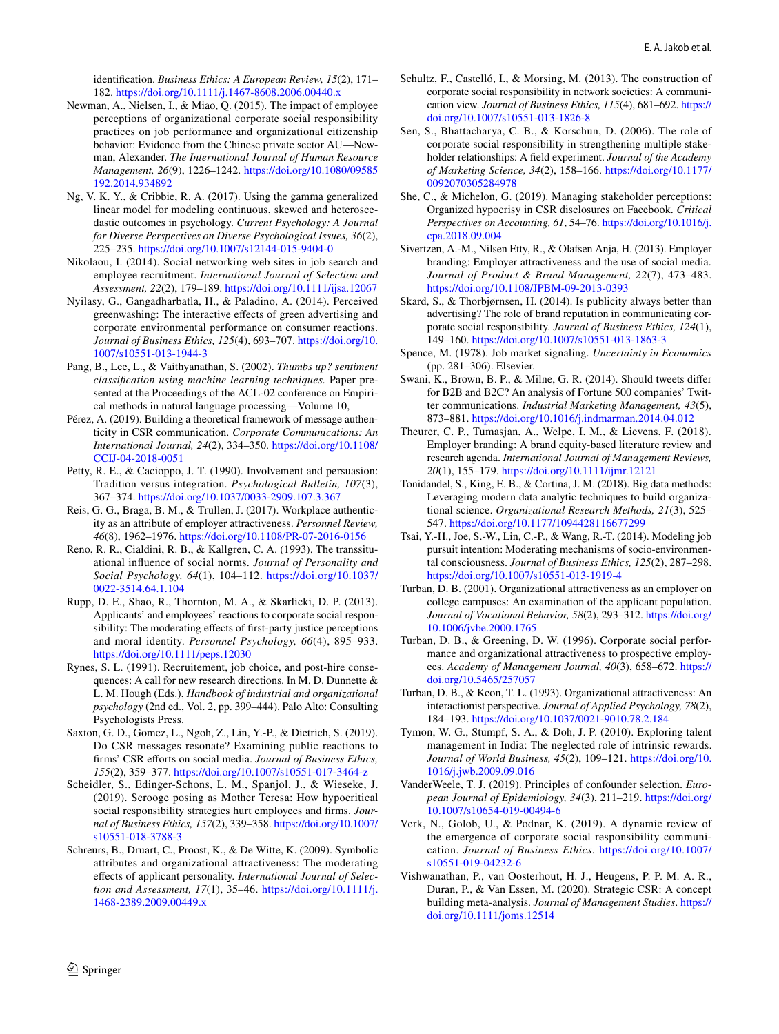identifcation. *Business Ethics: A European Review, 15*(2), 171– 182. <https://doi.org/10.1111/j.1467-8608.2006.00440.x>

- <span id="page-21-3"></span>Newman, A., Nielsen, I., & Miao, Q. (2015). The impact of employee perceptions of organizational corporate social responsibility practices on job performance and organizational citizenship behavior: Evidence from the Chinese private sector AU—Newman, Alexander. *The International Journal of Human Resource Management, 26*(9), 1226–1242. [https://doi.org/10.1080/09585](https://doi.org/10.1080/09585192.2014.934892) [192.2014.934892](https://doi.org/10.1080/09585192.2014.934892)
- <span id="page-21-24"></span>Ng, V. K. Y., & Cribbie, R. A. (2017). Using the gamma generalized linear model for modeling continuous, skewed and heteroscedastic outcomes in psychology. *Current Psychology: A Journal for Diverse Perspectives on Diverse Psychological Issues, 36*(2), 225–235. <https://doi.org/10.1007/s12144-015-9404-0>
- <span id="page-21-18"></span>Nikolaou, I. (2014). Social networking web sites in job search and employee recruitment. *International Journal of Selection and Assessment, 22*(2), 179–189.<https://doi.org/10.1111/ijsa.12067>
- <span id="page-21-27"></span>Nyilasy, G., Gangadharbatla, H., & Paladino, A. (2014). Perceived greenwashing: The interactive efects of green advertising and corporate environmental performance on consumer reactions. *Journal of Business Ethics, 125*(4), 693–707. [https://doi.org/10.](https://doi.org/10.1007/s10551-013-1944-3) [1007/s10551-013-1944-3](https://doi.org/10.1007/s10551-013-1944-3)
- <span id="page-21-22"></span>Pang, B., Lee, L., & Vaithyanathan, S. (2002). *Thumbs up? sentiment classifcation using machine learning techniques.* Paper presented at the Proceedings of the ACL-02 conference on Empirical methods in natural language processing—Volume 10,
- <span id="page-21-26"></span>Pérez, A. (2019). Building a theoretical framework of message authenticity in CSR communication. *Corporate Communications: An International Journal, 24*(2), 334–350. [https://doi.org/10.1108/](https://doi.org/10.1108/CCIJ-04-2018-0051) [CCIJ-04-2018-0051](https://doi.org/10.1108/CCIJ-04-2018-0051)
- <span id="page-21-28"></span>Petty, R. E., & Cacioppo, J. T. (1990). Involvement and persuasion: Tradition versus integration. *Psychological Bulletin, 107*(3), 367–374. <https://doi.org/10.1037/0033-2909.107.3.367>
- <span id="page-21-12"></span>Reis, G. G., Braga, B. M., & Trullen, J. (2017). Workplace authenticity as an attribute of employer attractiveness. *Personnel Review, 46*(8), 1962–1976.<https://doi.org/10.1108/PR-07-2016-0156>
- <span id="page-21-29"></span>Reno, R. R., Cialdini, R. B., & Kallgren, C. A. (1993). The transsituational infuence of social norms. *Journal of Personality and Social Psychology, 64*(1), 104–112. [https://doi.org/10.1037/](https://doi.org/10.1037/0022-3514.64.1.104) [0022-3514.64.1.104](https://doi.org/10.1037/0022-3514.64.1.104)
- <span id="page-21-7"></span>Rupp, D. E., Shao, R., Thornton, M. A., & Skarlicki, D. P. (2013). Applicants' and employees' reactions to corporate social responsibility: The moderating efects of frst-party justice perceptions and moral identity. *Personnel Psychology, 66*(4), 895–933. <https://doi.org/10.1111/peps.12030>
- <span id="page-21-8"></span>Rynes, S. L. (1991). Recruitement, job choice, and post-hire consequences: A call for new research directions. In M. D. Dunnette & L. M. Hough (Eds.), *Handbook of industrial and organizational psychology* (2nd ed., Vol. 2, pp. 399–444). Palo Alto: Consulting Psychologists Press.
- <span id="page-21-20"></span>Saxton, G. D., Gomez, L., Ngoh, Z., Lin, Y.-P., & Dietrich, S. (2019). Do CSR messages resonate? Examining public reactions to firms' CSR efforts on social media. Journal of Business Ethics, *155*(2), 359–377.<https://doi.org/10.1007/s10551-017-3464-z>
- <span id="page-21-6"></span>Scheidler, S., Edinger-Schons, L. M., Spanjol, J., & Wieseke, J. (2019). Scrooge posing as Mother Teresa: How hypocritical social responsibility strategies hurt employees and frms. *Journal of Business Ethics, 157*(2), 339–358. [https://doi.org/10.1007/](https://doi.org/10.1007/s10551-018-3788-3) [s10551-018-3788-3](https://doi.org/10.1007/s10551-018-3788-3)
- <span id="page-21-14"></span>Schreurs, B., Druart, C., Proost, K., & De Witte, K. (2009). Symbolic attributes and organizational attractiveness: The moderating efects of applicant personality. *International Journal of Selection and Assessment, 17*(1), 35–46. [https://doi.org/10.1111/j.](https://doi.org/10.1111/j.1468-2389.2009.00449.x) [1468-2389.2009.00449.x](https://doi.org/10.1111/j.1468-2389.2009.00449.x)
- <span id="page-21-10"></span>Schultz, F., Castelló, I., & Morsing, M. (2013). The construction of corporate social responsibility in network societies: A communication view. *Journal of Business Ethics, 115*(4), 681–692. [https://](https://doi.org/10.1007/s10551-013-1826-8) [doi.org/10.1007/s10551-013-1826-8](https://doi.org/10.1007/s10551-013-1826-8)
- <span id="page-21-5"></span>Sen, S., Bhattacharya, C. B., & Korschun, D. (2006). The role of corporate social responsibility in strengthening multiple stakeholder relationships: A feld experiment. *Journal of the Academy of Marketing Science, 34*(2), 158–166. [https://doi.org/10.1177/](https://doi.org/10.1177/0092070305284978) [0092070305284978](https://doi.org/10.1177/0092070305284978)
- <span id="page-21-11"></span>She, C., & Michelon, G. (2019). Managing stakeholder perceptions: Organized hypocrisy in CSR disclosures on Facebook. *Critical Perspectives on Accounting, 61*, 54–76. [https://doi.org/10.1016/j.](https://doi.org/10.1016/j.cpa.2018.09.004) [cpa.2018.09.004](https://doi.org/10.1016/j.cpa.2018.09.004)
- <span id="page-21-19"></span>Sivertzen, A.-M., Nilsen Etty, R., & Olafsen Anja, H. (2013). Employer branding: Employer attractiveness and the use of social media. *Journal of Product & Brand Management, 22*(7), 473–483. <https://doi.org/10.1108/JPBM-09-2013-0393>
- <span id="page-21-21"></span>Skard, S., & Thorbjørnsen, H. (2014). Is publicity always better than advertising? The role of brand reputation in communicating corporate social responsibility. *Journal of Business Ethics, 124*(1), 149–160.<https://doi.org/10.1007/s10551-013-1863-3>
- <span id="page-21-9"></span>Spence, M. (1978). Job market signaling. *Uncertainty in Economics* (pp. 281–306). Elsevier.
- <span id="page-21-23"></span>Swani, K., Brown, B. P., & Milne, G. R. (2014). Should tweets difer for B2B and B2C? An analysis of Fortune 500 companies' Twitter communications. *Industrial Marketing Management, 43*(5), 873–881.<https://doi.org/10.1016/j.indmarman.2014.04.012>
- <span id="page-21-15"></span>Theurer, C. P., Tumasjan, A., Welpe, I. M., & Lievens, F. (2018). Employer branding: A brand equity-based literature review and research agenda. *International Journal of Management Reviews, 20*(1), 155–179. <https://doi.org/10.1111/ijmr.12121>
- <span id="page-21-25"></span>Tonidandel, S., King, E. B., & Cortina, J. M. (2018). Big data methods: Leveraging modern data analytic techniques to build organizational science. *Organizational Research Methods, 21*(3), 525– 547. <https://doi.org/10.1177/1094428116677299>
- <span id="page-21-1"></span>Tsai, Y.-H., Joe, S.-W., Lin, C.-P., & Wang, R.-T. (2014). Modeling job pursuit intention: Moderating mechanisms of socio-environmental consciousness. *Journal of Business Ethics, 125*(2), 287–298. <https://doi.org/10.1007/s10551-013-1919-4>
- <span id="page-21-16"></span>Turban, D. B. (2001). Organizational attractiveness as an employer on college campuses: An examination of the applicant population. *Journal of Vocational Behavior, 58*(2), 293–312. [https://doi.org/](https://doi.org/10.1006/jvbe.2000.1765) [10.1006/jvbe.2000.1765](https://doi.org/10.1006/jvbe.2000.1765)
- <span id="page-21-2"></span>Turban, D. B., & Greening, D. W. (1996). Corporate social performance and organizational attractiveness to prospective employees. *Academy of Management Journal, 40*(3), 658–672. [https://](https://doi.org/10.5465/257057) [doi.org/10.5465/257057](https://doi.org/10.5465/257057)
- <span id="page-21-13"></span>Turban, D. B., & Keon, T. L. (1993). Organizational attractiveness: An interactionist perspective. *Journal of Applied Psychology, 78*(2), 184–193.<https://doi.org/10.1037/0021-9010.78.2.184>
- <span id="page-21-4"></span>Tymon, W. G., Stumpf, S. A., & Doh, J. P. (2010). Exploring talent management in India: The neglected role of intrinsic rewards. *Journal of World Business, 45*(2), 109–121. [https://doi.org/10.](https://doi.org/10.1016/j.jwb.2009.09.016) [1016/j.jwb.2009.09.016](https://doi.org/10.1016/j.jwb.2009.09.016)
- <span id="page-21-30"></span>VanderWeele, T. J. (2019). Principles of confounder selection. *European Journal of Epidemiology, 34*(3), 211–219. [https://doi.org/](https://doi.org/10.1007/s10654-019-00494-6) [10.1007/s10654-019-00494-6](https://doi.org/10.1007/s10654-019-00494-6)
- <span id="page-21-17"></span>Verk, N., Golob, U., & Podnar, K. (2019). A dynamic review of the emergence of corporate social responsibility communication. *Journal of Business Ethics*. [https://doi.org/10.1007/](https://doi.org/10.1007/s10551-019-04232-6) [s10551-019-04232-6](https://doi.org/10.1007/s10551-019-04232-6)
- <span id="page-21-0"></span>Vishwanathan, P., van Oosterhout, H. J., Heugens, P. P. M. A. R., Duran, P., & Van Essen, M. (2020). Strategic CSR: A concept building meta-analysis. *Journal of Management Studies*. [https://](https://doi.org/10.1111/joms.12514) [doi.org/10.1111/joms.12514](https://doi.org/10.1111/joms.12514)